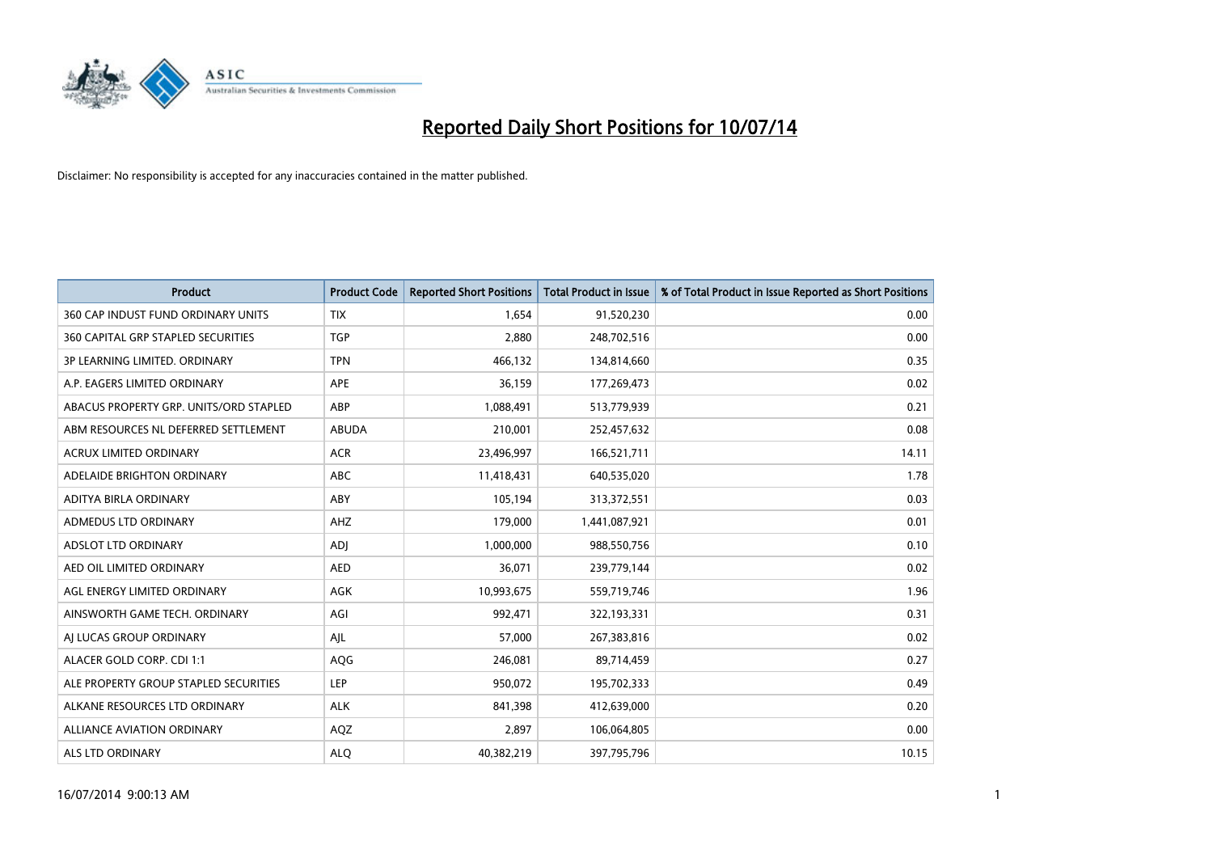

| <b>Product</b>                         | <b>Product Code</b> | <b>Reported Short Positions</b> | <b>Total Product in Issue</b> | % of Total Product in Issue Reported as Short Positions |
|----------------------------------------|---------------------|---------------------------------|-------------------------------|---------------------------------------------------------|
| 360 CAP INDUST FUND ORDINARY UNITS     | <b>TIX</b>          | 1.654                           | 91,520,230                    | 0.00                                                    |
| 360 CAPITAL GRP STAPLED SECURITIES     | <b>TGP</b>          | 2,880                           | 248,702,516                   | 0.00                                                    |
| 3P LEARNING LIMITED. ORDINARY          | <b>TPN</b>          | 466,132                         | 134,814,660                   | 0.35                                                    |
| A.P. EAGERS LIMITED ORDINARY           | <b>APE</b>          | 36,159                          | 177,269,473                   | 0.02                                                    |
| ABACUS PROPERTY GRP. UNITS/ORD STAPLED | ABP                 | 1,088,491                       | 513,779,939                   | 0.21                                                    |
| ABM RESOURCES NL DEFERRED SETTLEMENT   | <b>ABUDA</b>        | 210,001                         | 252,457,632                   | 0.08                                                    |
| <b>ACRUX LIMITED ORDINARY</b>          | <b>ACR</b>          | 23,496,997                      | 166,521,711                   | 14.11                                                   |
| ADELAIDE BRIGHTON ORDINARY             | <b>ABC</b>          | 11,418,431                      | 640,535,020                   | 1.78                                                    |
| ADITYA BIRLA ORDINARY                  | ABY                 | 105.194                         | 313,372,551                   | 0.03                                                    |
| <b>ADMEDUS LTD ORDINARY</b>            | AHZ                 | 179,000                         | 1,441,087,921                 | 0.01                                                    |
| ADSLOT LTD ORDINARY                    | <b>ADJ</b>          | 1,000,000                       | 988,550,756                   | 0.10                                                    |
| AED OIL LIMITED ORDINARY               | <b>AED</b>          | 36,071                          | 239,779,144                   | 0.02                                                    |
| AGL ENERGY LIMITED ORDINARY            | AGK                 | 10,993,675                      | 559,719,746                   | 1.96                                                    |
| AINSWORTH GAME TECH. ORDINARY          | AGI                 | 992,471                         | 322,193,331                   | 0.31                                                    |
| AI LUCAS GROUP ORDINARY                | AJL                 | 57,000                          | 267,383,816                   | 0.02                                                    |
| ALACER GOLD CORP. CDI 1:1              | AQG                 | 246,081                         | 89,714,459                    | 0.27                                                    |
| ALE PROPERTY GROUP STAPLED SECURITIES  | <b>LEP</b>          | 950,072                         | 195,702,333                   | 0.49                                                    |
| ALKANE RESOURCES LTD ORDINARY          | <b>ALK</b>          | 841,398                         | 412,639,000                   | 0.20                                                    |
| <b>ALLIANCE AVIATION ORDINARY</b>      | AQZ                 | 2,897                           | 106,064,805                   | 0.00                                                    |
| ALS LTD ORDINARY                       | <b>ALO</b>          | 40,382,219                      | 397,795,796                   | 10.15                                                   |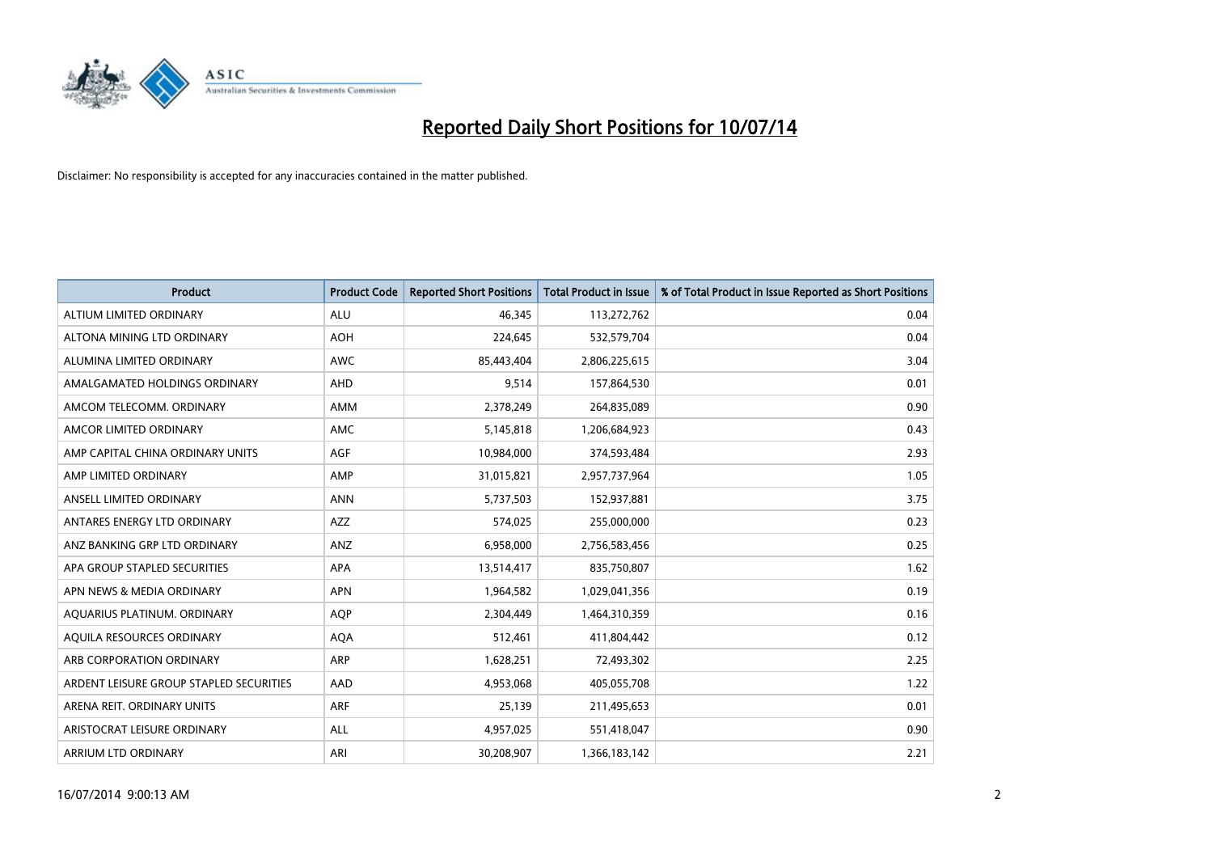

| <b>Product</b>                          | <b>Product Code</b> | <b>Reported Short Positions</b> | <b>Total Product in Issue</b> | % of Total Product in Issue Reported as Short Positions |
|-----------------------------------------|---------------------|---------------------------------|-------------------------------|---------------------------------------------------------|
| ALTIUM LIMITED ORDINARY                 | <b>ALU</b>          | 46.345                          | 113,272,762                   | 0.04                                                    |
| ALTONA MINING LTD ORDINARY              | <b>AOH</b>          | 224,645                         | 532,579,704                   | 0.04                                                    |
| ALUMINA LIMITED ORDINARY                | <b>AWC</b>          | 85,443,404                      | 2,806,225,615                 | 3.04                                                    |
| AMALGAMATED HOLDINGS ORDINARY           | AHD                 | 9,514                           | 157,864,530                   | 0.01                                                    |
| AMCOM TELECOMM, ORDINARY                | AMM                 | 2,378,249                       | 264,835,089                   | 0.90                                                    |
| AMCOR LIMITED ORDINARY                  | AMC                 | 5,145,818                       | 1,206,684,923                 | 0.43                                                    |
| AMP CAPITAL CHINA ORDINARY UNITS        | AGF                 | 10,984,000                      | 374,593,484                   | 2.93                                                    |
| AMP LIMITED ORDINARY                    | AMP                 | 31,015,821                      | 2,957,737,964                 | 1.05                                                    |
| ANSELL LIMITED ORDINARY                 | <b>ANN</b>          | 5,737,503                       | 152,937,881                   | 3.75                                                    |
| ANTARES ENERGY LTD ORDINARY             | <b>AZZ</b>          | 574,025                         | 255,000,000                   | 0.23                                                    |
| ANZ BANKING GRP LTD ORDINARY            | ANZ                 | 6,958,000                       | 2,756,583,456                 | 0.25                                                    |
| APA GROUP STAPLED SECURITIES            | APA                 | 13,514,417                      | 835,750,807                   | 1.62                                                    |
| APN NEWS & MEDIA ORDINARY               | <b>APN</b>          | 1,964,582                       | 1,029,041,356                 | 0.19                                                    |
| AQUARIUS PLATINUM. ORDINARY             | <b>AOP</b>          | 2,304,449                       | 1,464,310,359                 | 0.16                                                    |
| AQUILA RESOURCES ORDINARY               | <b>AQA</b>          | 512,461                         | 411,804,442                   | 0.12                                                    |
| ARB CORPORATION ORDINARY                | ARP                 | 1,628,251                       | 72,493,302                    | 2.25                                                    |
| ARDENT LEISURE GROUP STAPLED SECURITIES | AAD                 | 4,953,068                       | 405,055,708                   | 1.22                                                    |
| ARENA REIT. ORDINARY UNITS              | <b>ARF</b>          | 25,139                          | 211,495,653                   | 0.01                                                    |
| ARISTOCRAT LEISURE ORDINARY             | ALL                 | 4,957,025                       | 551,418,047                   | 0.90                                                    |
| ARRIUM LTD ORDINARY                     | ARI                 | 30,208,907                      | 1,366,183,142                 | 2.21                                                    |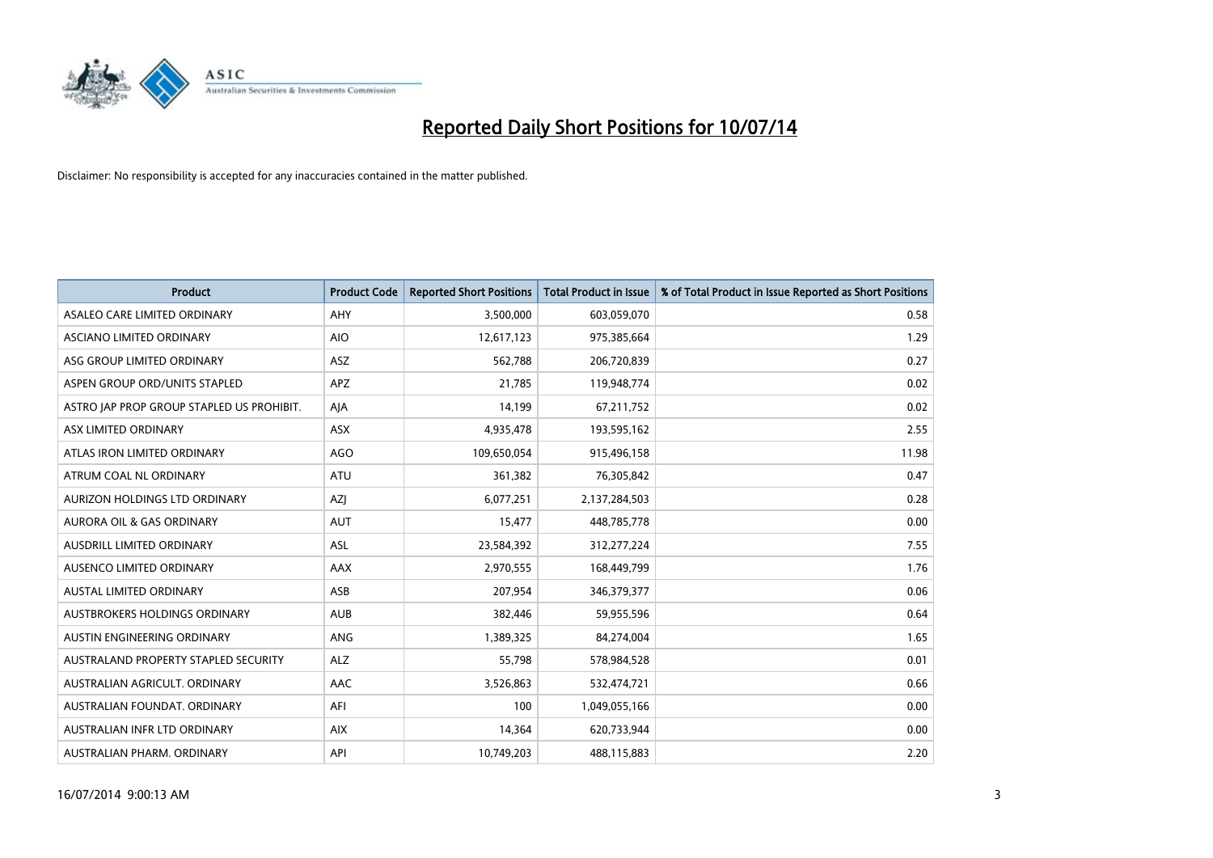

| <b>Product</b>                            | <b>Product Code</b> | <b>Reported Short Positions</b> | <b>Total Product in Issue</b> | % of Total Product in Issue Reported as Short Positions |
|-------------------------------------------|---------------------|---------------------------------|-------------------------------|---------------------------------------------------------|
| ASALEO CARE LIMITED ORDINARY              | AHY                 | 3,500,000                       | 603,059,070                   | 0.58                                                    |
| ASCIANO LIMITED ORDINARY                  | <b>AIO</b>          | 12,617,123                      | 975,385,664                   | 1.29                                                    |
| ASG GROUP LIMITED ORDINARY                | ASZ                 | 562,788                         | 206,720,839                   | 0.27                                                    |
| ASPEN GROUP ORD/UNITS STAPLED             | APZ                 | 21,785                          | 119,948,774                   | 0.02                                                    |
| ASTRO JAP PROP GROUP STAPLED US PROHIBIT. | AJA                 | 14,199                          | 67,211,752                    | 0.02                                                    |
| ASX LIMITED ORDINARY                      | ASX                 | 4,935,478                       | 193,595,162                   | 2.55                                                    |
| ATLAS IRON LIMITED ORDINARY               | <b>AGO</b>          | 109,650,054                     | 915,496,158                   | 11.98                                                   |
| ATRUM COAL NL ORDINARY                    | ATU                 | 361,382                         | 76,305,842                    | 0.47                                                    |
| AURIZON HOLDINGS LTD ORDINARY             | AZJ                 | 6,077,251                       | 2,137,284,503                 | 0.28                                                    |
| <b>AURORA OIL &amp; GAS ORDINARY</b>      | <b>AUT</b>          | 15,477                          | 448,785,778                   | 0.00                                                    |
| AUSDRILL LIMITED ORDINARY                 | ASL                 | 23,584,392                      | 312,277,224                   | 7.55                                                    |
| AUSENCO LIMITED ORDINARY                  | AAX                 | 2,970,555                       | 168,449,799                   | 1.76                                                    |
| AUSTAL LIMITED ORDINARY                   | ASB                 | 207,954                         | 346, 379, 377                 | 0.06                                                    |
| AUSTBROKERS HOLDINGS ORDINARY             | <b>AUB</b>          | 382,446                         | 59,955,596                    | 0.64                                                    |
| AUSTIN ENGINEERING ORDINARY               | ANG                 | 1,389,325                       | 84,274,004                    | 1.65                                                    |
| AUSTRALAND PROPERTY STAPLED SECURITY      | <b>ALZ</b>          | 55,798                          | 578,984,528                   | 0.01                                                    |
| AUSTRALIAN AGRICULT. ORDINARY             | AAC                 | 3,526,863                       | 532,474,721                   | 0.66                                                    |
| AUSTRALIAN FOUNDAT. ORDINARY              | AFI                 | 100                             | 1,049,055,166                 | 0.00                                                    |
| AUSTRALIAN INFR LTD ORDINARY              | <b>AIX</b>          | 14,364                          | 620,733,944                   | 0.00                                                    |
| AUSTRALIAN PHARM. ORDINARY                | API                 | 10,749,203                      | 488,115,883                   | 2.20                                                    |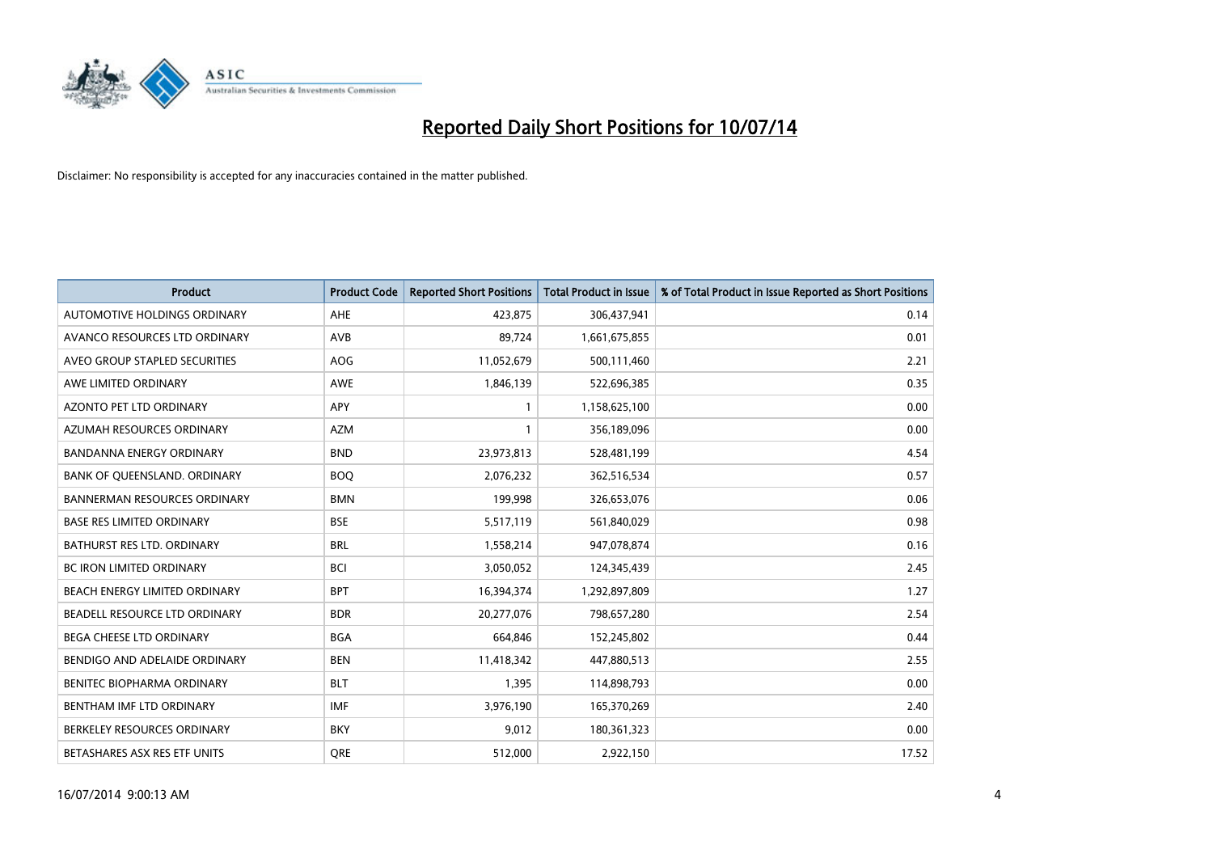

| <b>Product</b>                      | <b>Product Code</b> | <b>Reported Short Positions</b> | <b>Total Product in Issue</b> | % of Total Product in Issue Reported as Short Positions |
|-------------------------------------|---------------------|---------------------------------|-------------------------------|---------------------------------------------------------|
| AUTOMOTIVE HOLDINGS ORDINARY        | <b>AHE</b>          | 423,875                         | 306,437,941                   | 0.14                                                    |
| AVANCO RESOURCES LTD ORDINARY       | AVB                 | 89,724                          | 1,661,675,855                 | 0.01                                                    |
| AVEO GROUP STAPLED SECURITIES       | <b>AOG</b>          | 11,052,679                      | 500,111,460                   | 2.21                                                    |
| AWE LIMITED ORDINARY                | <b>AWE</b>          | 1,846,139                       | 522,696,385                   | 0.35                                                    |
| <b>AZONTO PET LTD ORDINARY</b>      | <b>APY</b>          | $\mathbf{1}$                    | 1,158,625,100                 | 0.00                                                    |
| AZUMAH RESOURCES ORDINARY           | <b>AZM</b>          | 1                               | 356,189,096                   | 0.00                                                    |
| <b>BANDANNA ENERGY ORDINARY</b>     | <b>BND</b>          | 23,973,813                      | 528,481,199                   | 4.54                                                    |
| BANK OF QUEENSLAND. ORDINARY        | <b>BOQ</b>          | 2,076,232                       | 362,516,534                   | 0.57                                                    |
| <b>BANNERMAN RESOURCES ORDINARY</b> | <b>BMN</b>          | 199,998                         | 326,653,076                   | 0.06                                                    |
| <b>BASE RES LIMITED ORDINARY</b>    | <b>BSE</b>          | 5,517,119                       | 561,840,029                   | 0.98                                                    |
| BATHURST RES LTD. ORDINARY          | <b>BRL</b>          | 1,558,214                       | 947,078,874                   | 0.16                                                    |
| <b>BC IRON LIMITED ORDINARY</b>     | <b>BCI</b>          | 3,050,052                       | 124,345,439                   | 2.45                                                    |
| BEACH ENERGY LIMITED ORDINARY       | <b>BPT</b>          | 16,394,374                      | 1,292,897,809                 | 1.27                                                    |
| BEADELL RESOURCE LTD ORDINARY       | <b>BDR</b>          | 20,277,076                      | 798,657,280                   | 2.54                                                    |
| <b>BEGA CHEESE LTD ORDINARY</b>     | <b>BGA</b>          | 664,846                         | 152,245,802                   | 0.44                                                    |
| BENDIGO AND ADELAIDE ORDINARY       | <b>BEN</b>          | 11,418,342                      | 447,880,513                   | 2.55                                                    |
| BENITEC BIOPHARMA ORDINARY          | <b>BLT</b>          | 1,395                           | 114,898,793                   | 0.00                                                    |
| BENTHAM IMF LTD ORDINARY            | <b>IMF</b>          | 3,976,190                       | 165,370,269                   | 2.40                                                    |
| BERKELEY RESOURCES ORDINARY         | <b>BKY</b>          | 9,012                           | 180,361,323                   | 0.00                                                    |
| BETASHARES ASX RES ETF UNITS        | <b>ORE</b>          | 512,000                         | 2,922,150                     | 17.52                                                   |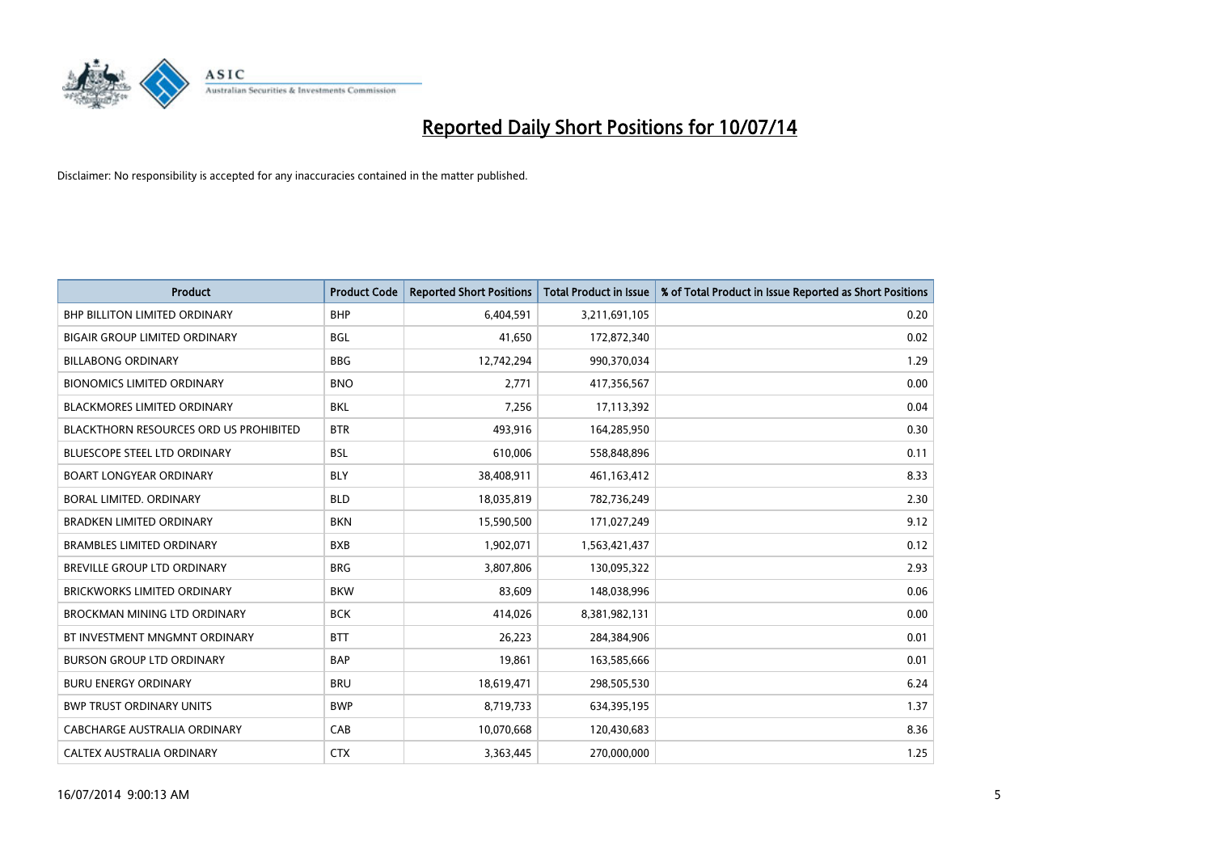

| <b>Product</b>                                | <b>Product Code</b> | <b>Reported Short Positions</b> | <b>Total Product in Issue</b> | % of Total Product in Issue Reported as Short Positions |
|-----------------------------------------------|---------------------|---------------------------------|-------------------------------|---------------------------------------------------------|
| <b>BHP BILLITON LIMITED ORDINARY</b>          | <b>BHP</b>          | 6,404,591                       | 3,211,691,105                 | 0.20                                                    |
| <b>BIGAIR GROUP LIMITED ORDINARY</b>          | <b>BGL</b>          | 41,650                          | 172,872,340                   | 0.02                                                    |
| <b>BILLABONG ORDINARY</b>                     | <b>BBG</b>          | 12,742,294                      | 990,370,034                   | 1.29                                                    |
| <b>BIONOMICS LIMITED ORDINARY</b>             | <b>BNO</b>          | 2,771                           | 417,356,567                   | 0.00                                                    |
| <b>BLACKMORES LIMITED ORDINARY</b>            | <b>BKL</b>          | 7,256                           | 17,113,392                    | 0.04                                                    |
| <b>BLACKTHORN RESOURCES ORD US PROHIBITED</b> | <b>BTR</b>          | 493,916                         | 164,285,950                   | 0.30                                                    |
| <b>BLUESCOPE STEEL LTD ORDINARY</b>           | <b>BSL</b>          | 610,006                         | 558,848,896                   | 0.11                                                    |
| <b>BOART LONGYEAR ORDINARY</b>                | <b>BLY</b>          | 38,408,911                      | 461,163,412                   | 8.33                                                    |
| BORAL LIMITED. ORDINARY                       | <b>BLD</b>          | 18,035,819                      | 782,736,249                   | 2.30                                                    |
| <b>BRADKEN LIMITED ORDINARY</b>               | <b>BKN</b>          | 15,590,500                      | 171,027,249                   | 9.12                                                    |
| <b>BRAMBLES LIMITED ORDINARY</b>              | <b>BXB</b>          | 1,902,071                       | 1,563,421,437                 | 0.12                                                    |
| BREVILLE GROUP LTD ORDINARY                   | <b>BRG</b>          | 3,807,806                       | 130,095,322                   | 2.93                                                    |
| <b>BRICKWORKS LIMITED ORDINARY</b>            | <b>BKW</b>          | 83,609                          | 148,038,996                   | 0.06                                                    |
| <b>BROCKMAN MINING LTD ORDINARY</b>           | <b>BCK</b>          | 414,026                         | 8,381,982,131                 | 0.00                                                    |
| BT INVESTMENT MNGMNT ORDINARY                 | <b>BTT</b>          | 26,223                          | 284,384,906                   | 0.01                                                    |
| <b>BURSON GROUP LTD ORDINARY</b>              | <b>BAP</b>          | 19,861                          | 163,585,666                   | 0.01                                                    |
| <b>BURU ENERGY ORDINARY</b>                   | <b>BRU</b>          | 18,619,471                      | 298,505,530                   | 6.24                                                    |
| <b>BWP TRUST ORDINARY UNITS</b>               | <b>BWP</b>          | 8,719,733                       | 634,395,195                   | 1.37                                                    |
| CABCHARGE AUSTRALIA ORDINARY                  | CAB                 | 10,070,668                      | 120,430,683                   | 8.36                                                    |
| CALTEX AUSTRALIA ORDINARY                     | <b>CTX</b>          | 3,363,445                       | 270,000,000                   | 1.25                                                    |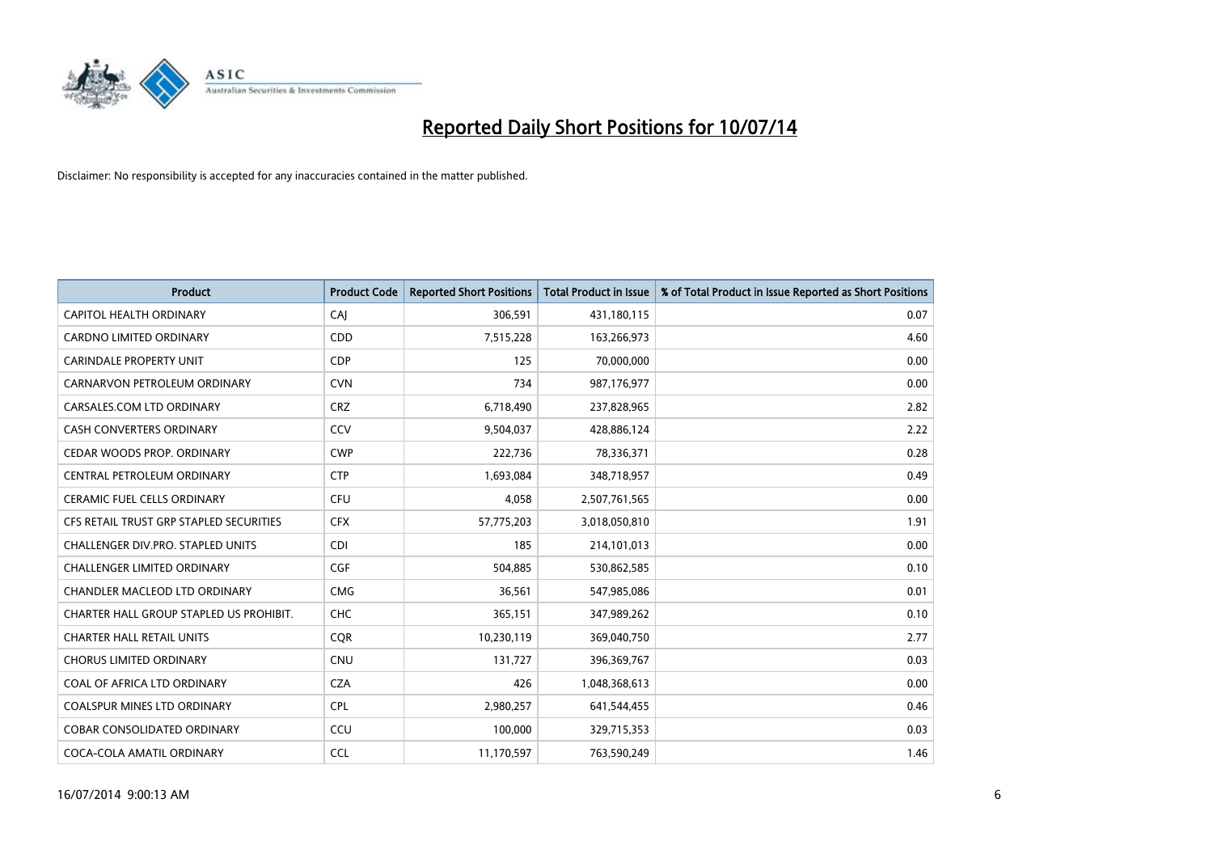

| <b>Product</b>                          | <b>Product Code</b> | <b>Reported Short Positions</b> | <b>Total Product in Issue</b> | % of Total Product in Issue Reported as Short Positions |
|-----------------------------------------|---------------------|---------------------------------|-------------------------------|---------------------------------------------------------|
| <b>CAPITOL HEALTH ORDINARY</b>          | CAJ                 | 306,591                         | 431,180,115                   | 0.07                                                    |
| CARDNO LIMITED ORDINARY                 | CDD                 | 7,515,228                       | 163,266,973                   | 4.60                                                    |
| <b>CARINDALE PROPERTY UNIT</b>          | <b>CDP</b>          | 125                             | 70,000,000                    | 0.00                                                    |
| CARNARVON PETROLEUM ORDINARY            | <b>CVN</b>          | 734                             | 987,176,977                   | 0.00                                                    |
| CARSALES.COM LTD ORDINARY               | <b>CRZ</b>          | 6,718,490                       | 237,828,965                   | 2.82                                                    |
| <b>CASH CONVERTERS ORDINARY</b>         | CCV                 | 9,504,037                       | 428,886,124                   | 2.22                                                    |
| CEDAR WOODS PROP. ORDINARY              | <b>CWP</b>          | 222,736                         | 78,336,371                    | 0.28                                                    |
| CENTRAL PETROLEUM ORDINARY              | <b>CTP</b>          | 1,693,084                       | 348,718,957                   | 0.49                                                    |
| CERAMIC FUEL CELLS ORDINARY             | <b>CFU</b>          | 4,058                           | 2,507,761,565                 | 0.00                                                    |
| CFS RETAIL TRUST GRP STAPLED SECURITIES | <b>CFX</b>          | 57,775,203                      | 3,018,050,810                 | 1.91                                                    |
| CHALLENGER DIV.PRO. STAPLED UNITS       | <b>CDI</b>          | 185                             | 214,101,013                   | 0.00                                                    |
| <b>CHALLENGER LIMITED ORDINARY</b>      | <b>CGF</b>          | 504,885                         | 530,862,585                   | 0.10                                                    |
| CHANDLER MACLEOD LTD ORDINARY           | <b>CMG</b>          | 36,561                          | 547,985,086                   | 0.01                                                    |
| CHARTER HALL GROUP STAPLED US PROHIBIT. | <b>CHC</b>          | 365,151                         | 347,989,262                   | 0.10                                                    |
| <b>CHARTER HALL RETAIL UNITS</b>        | CQR                 | 10,230,119                      | 369,040,750                   | 2.77                                                    |
| <b>CHORUS LIMITED ORDINARY</b>          | <b>CNU</b>          | 131,727                         | 396,369,767                   | 0.03                                                    |
| COAL OF AFRICA LTD ORDINARY             | <b>CZA</b>          | 426                             | 1,048,368,613                 | 0.00                                                    |
| COALSPUR MINES LTD ORDINARY             | <b>CPL</b>          | 2,980,257                       | 641,544,455                   | 0.46                                                    |
| <b>COBAR CONSOLIDATED ORDINARY</b>      | CCU                 | 100,000                         | 329,715,353                   | 0.03                                                    |
| COCA-COLA AMATIL ORDINARY               | <b>CCL</b>          | 11,170,597                      | 763,590,249                   | 1.46                                                    |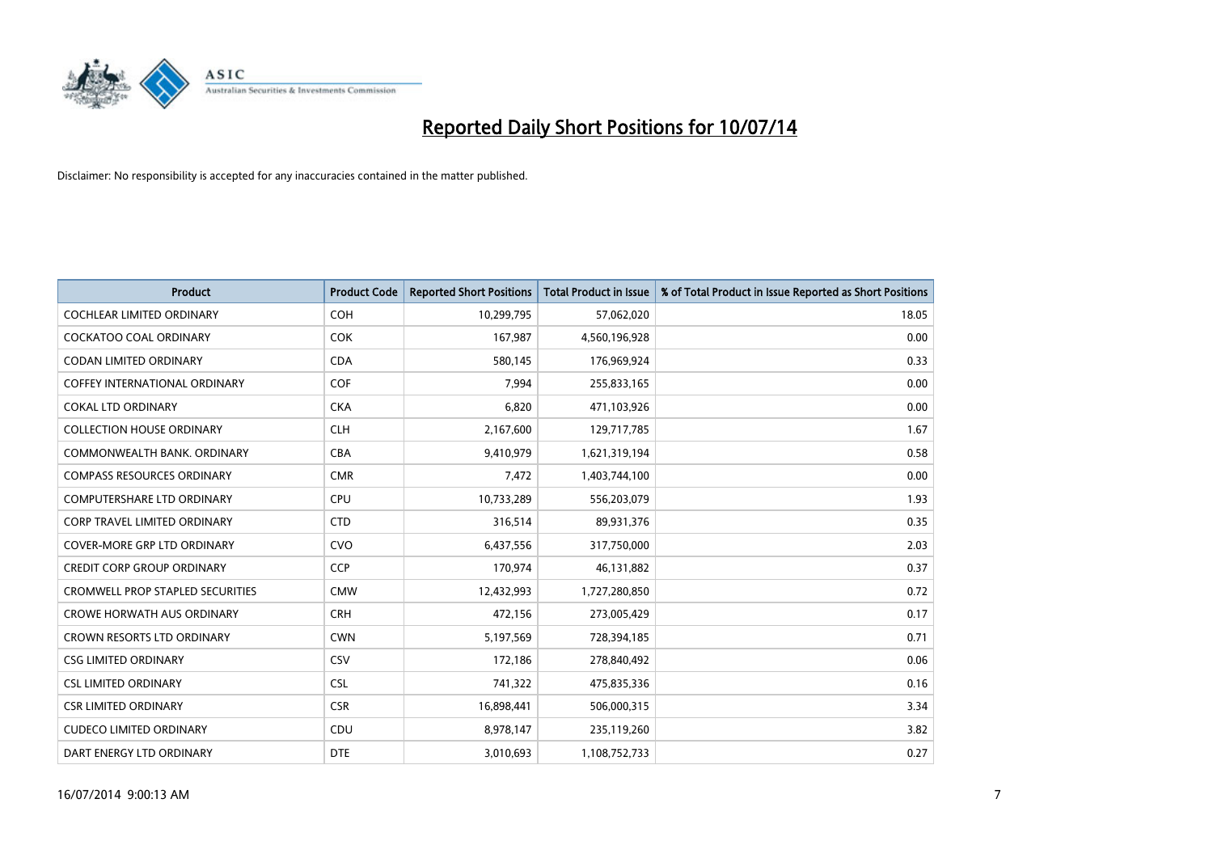

| Product                                 | <b>Product Code</b> | <b>Reported Short Positions</b> | <b>Total Product in Issue</b> | % of Total Product in Issue Reported as Short Positions |
|-----------------------------------------|---------------------|---------------------------------|-------------------------------|---------------------------------------------------------|
| <b>COCHLEAR LIMITED ORDINARY</b>        | <b>COH</b>          | 10,299,795                      | 57,062,020                    | 18.05                                                   |
| COCKATOO COAL ORDINARY                  | <b>COK</b>          | 167,987                         | 4,560,196,928                 | 0.00                                                    |
| <b>CODAN LIMITED ORDINARY</b>           | <b>CDA</b>          | 580,145                         | 176,969,924                   | 0.33                                                    |
| COFFEY INTERNATIONAL ORDINARY           | <b>COF</b>          | 7,994                           | 255,833,165                   | 0.00                                                    |
| <b>COKAL LTD ORDINARY</b>               | <b>CKA</b>          | 6,820                           | 471,103,926                   | 0.00                                                    |
| <b>COLLECTION HOUSE ORDINARY</b>        | <b>CLH</b>          | 2,167,600                       | 129,717,785                   | 1.67                                                    |
| COMMONWEALTH BANK, ORDINARY             | <b>CBA</b>          | 9,410,979                       | 1,621,319,194                 | 0.58                                                    |
| COMPASS RESOURCES ORDINARY              | <b>CMR</b>          | 7,472                           | 1,403,744,100                 | 0.00                                                    |
| <b>COMPUTERSHARE LTD ORDINARY</b>       | <b>CPU</b>          | 10,733,289                      | 556,203,079                   | 1.93                                                    |
| <b>CORP TRAVEL LIMITED ORDINARY</b>     | <b>CTD</b>          | 316,514                         | 89,931,376                    | 0.35                                                    |
| <b>COVER-MORE GRP LTD ORDINARY</b>      | <b>CVO</b>          | 6,437,556                       | 317,750,000                   | 2.03                                                    |
| <b>CREDIT CORP GROUP ORDINARY</b>       | <b>CCP</b>          | 170,974                         | 46,131,882                    | 0.37                                                    |
| <b>CROMWELL PROP STAPLED SECURITIES</b> | <b>CMW</b>          | 12,432,993                      | 1,727,280,850                 | 0.72                                                    |
| <b>CROWE HORWATH AUS ORDINARY</b>       | <b>CRH</b>          | 472,156                         | 273,005,429                   | 0.17                                                    |
| <b>CROWN RESORTS LTD ORDINARY</b>       | <b>CWN</b>          | 5,197,569                       | 728,394,185                   | 0.71                                                    |
| <b>CSG LIMITED ORDINARY</b>             | CSV                 | 172,186                         | 278,840,492                   | 0.06                                                    |
| <b>CSL LIMITED ORDINARY</b>             | <b>CSL</b>          | 741,322                         | 475,835,336                   | 0.16                                                    |
| <b>CSR LIMITED ORDINARY</b>             | <b>CSR</b>          | 16,898,441                      | 506,000,315                   | 3.34                                                    |
| <b>CUDECO LIMITED ORDINARY</b>          | CDU                 | 8,978,147                       | 235,119,260                   | 3.82                                                    |
| DART ENERGY LTD ORDINARY                | <b>DTE</b>          | 3,010,693                       | 1,108,752,733                 | 0.27                                                    |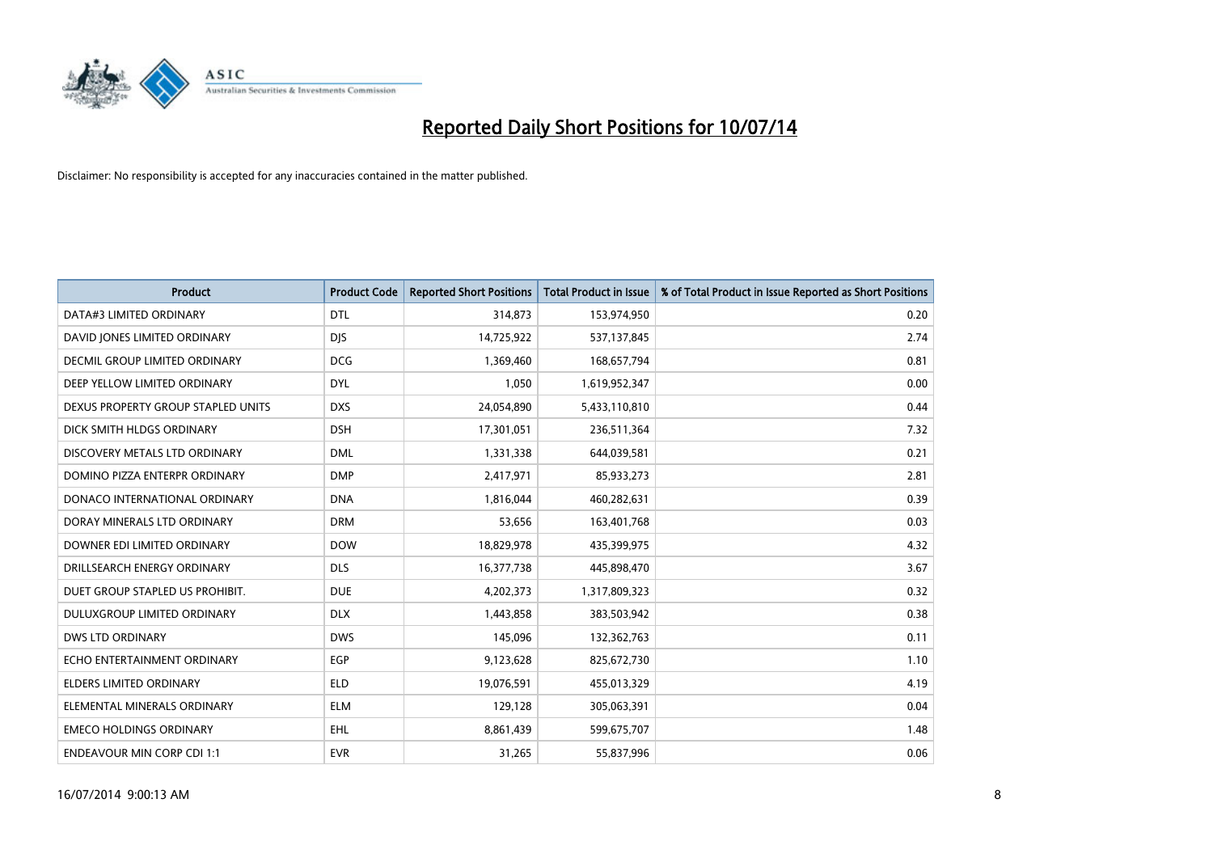

| <b>Product</b>                     | <b>Product Code</b> | <b>Reported Short Positions</b> | <b>Total Product in Issue</b> | % of Total Product in Issue Reported as Short Positions |
|------------------------------------|---------------------|---------------------------------|-------------------------------|---------------------------------------------------------|
| DATA#3 LIMITED ORDINARY            | <b>DTL</b>          | 314,873                         | 153,974,950                   | 0.20                                                    |
| DAVID JONES LIMITED ORDINARY       | <b>DIS</b>          | 14,725,922                      | 537,137,845                   | 2.74                                                    |
| DECMIL GROUP LIMITED ORDINARY      | <b>DCG</b>          | 1,369,460                       | 168,657,794                   | 0.81                                                    |
| DEEP YELLOW LIMITED ORDINARY       | <b>DYL</b>          | 1,050                           | 1,619,952,347                 | 0.00                                                    |
| DEXUS PROPERTY GROUP STAPLED UNITS | <b>DXS</b>          | 24,054,890                      | 5,433,110,810                 | 0.44                                                    |
| DICK SMITH HLDGS ORDINARY          | <b>DSH</b>          | 17,301,051                      | 236,511,364                   | 7.32                                                    |
| DISCOVERY METALS LTD ORDINARY      | <b>DML</b>          | 1,331,338                       | 644,039,581                   | 0.21                                                    |
| DOMINO PIZZA ENTERPR ORDINARY      | <b>DMP</b>          | 2,417,971                       | 85,933,273                    | 2.81                                                    |
| DONACO INTERNATIONAL ORDINARY      | <b>DNA</b>          | 1,816,044                       | 460,282,631                   | 0.39                                                    |
| DORAY MINERALS LTD ORDINARY        | <b>DRM</b>          | 53,656                          | 163,401,768                   | 0.03                                                    |
| DOWNER EDI LIMITED ORDINARY        | <b>DOW</b>          | 18,829,978                      | 435,399,975                   | 4.32                                                    |
| DRILLSEARCH ENERGY ORDINARY        | <b>DLS</b>          | 16,377,738                      | 445,898,470                   | 3.67                                                    |
| DUET GROUP STAPLED US PROHIBIT.    | <b>DUE</b>          | 4,202,373                       | 1,317,809,323                 | 0.32                                                    |
| DULUXGROUP LIMITED ORDINARY        | <b>DLX</b>          | 1,443,858                       | 383,503,942                   | 0.38                                                    |
| <b>DWS LTD ORDINARY</b>            | <b>DWS</b>          | 145,096                         | 132,362,763                   | 0.11                                                    |
| ECHO ENTERTAINMENT ORDINARY        | <b>EGP</b>          | 9,123,628                       | 825,672,730                   | 1.10                                                    |
| ELDERS LIMITED ORDINARY            | <b>ELD</b>          | 19,076,591                      | 455,013,329                   | 4.19                                                    |
| ELEMENTAL MINERALS ORDINARY        | <b>ELM</b>          | 129,128                         | 305,063,391                   | 0.04                                                    |
| <b>EMECO HOLDINGS ORDINARY</b>     | <b>EHL</b>          | 8,861,439                       | 599,675,707                   | 1.48                                                    |
| <b>ENDEAVOUR MIN CORP CDI 1:1</b>  | <b>EVR</b>          | 31,265                          | 55,837,996                    | 0.06                                                    |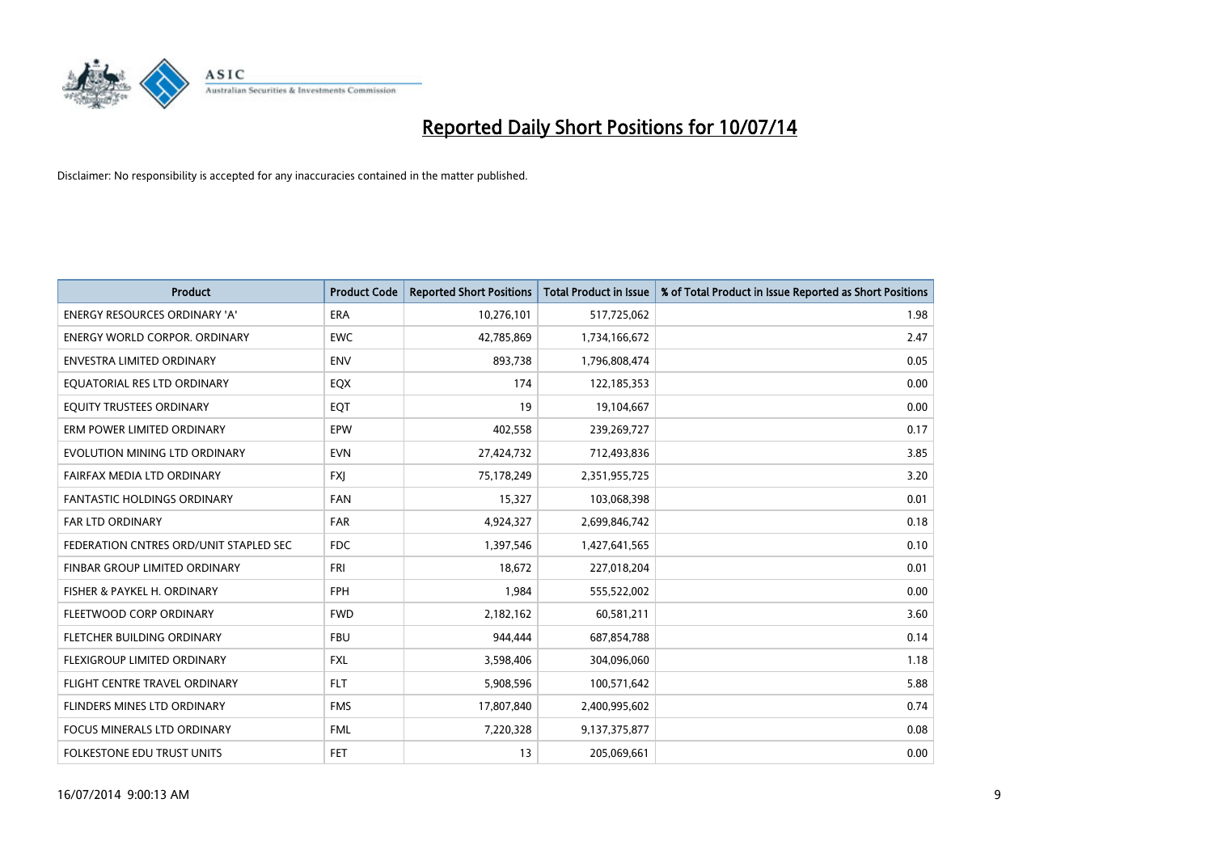

| <b>Product</b>                         | <b>Product Code</b> | <b>Reported Short Positions</b> | <b>Total Product in Issue</b> | % of Total Product in Issue Reported as Short Positions |
|----------------------------------------|---------------------|---------------------------------|-------------------------------|---------------------------------------------------------|
| <b>ENERGY RESOURCES ORDINARY 'A'</b>   | <b>ERA</b>          | 10,276,101                      | 517,725,062                   | 1.98                                                    |
| <b>ENERGY WORLD CORPOR. ORDINARY</b>   | <b>EWC</b>          | 42,785,869                      | 1,734,166,672                 | 2.47                                                    |
| <b>ENVESTRA LIMITED ORDINARY</b>       | <b>ENV</b>          | 893,738                         | 1,796,808,474                 | 0.05                                                    |
| EQUATORIAL RES LTD ORDINARY            | EQX                 | 174                             | 122,185,353                   | 0.00                                                    |
| EQUITY TRUSTEES ORDINARY               | EQT                 | 19                              | 19,104,667                    | 0.00                                                    |
| ERM POWER LIMITED ORDINARY             | EPW                 | 402,558                         | 239,269,727                   | 0.17                                                    |
| EVOLUTION MINING LTD ORDINARY          | <b>EVN</b>          | 27,424,732                      | 712,493,836                   | 3.85                                                    |
| FAIRFAX MEDIA LTD ORDINARY             | <b>FXJ</b>          | 75,178,249                      | 2,351,955,725                 | 3.20                                                    |
| <b>FANTASTIC HOLDINGS ORDINARY</b>     | <b>FAN</b>          | 15,327                          | 103,068,398                   | 0.01                                                    |
| <b>FAR LTD ORDINARY</b>                | FAR                 | 4,924,327                       | 2,699,846,742                 | 0.18                                                    |
| FEDERATION CNTRES ORD/UNIT STAPLED SEC | <b>FDC</b>          | 1,397,546                       | 1,427,641,565                 | 0.10                                                    |
| FINBAR GROUP LIMITED ORDINARY          | <b>FRI</b>          | 18,672                          | 227,018,204                   | 0.01                                                    |
| FISHER & PAYKEL H. ORDINARY            | <b>FPH</b>          | 1,984                           | 555,522,002                   | 0.00                                                    |
| FLEETWOOD CORP ORDINARY                | <b>FWD</b>          | 2,182,162                       | 60,581,211                    | 3.60                                                    |
| FLETCHER BUILDING ORDINARY             | <b>FBU</b>          | 944,444                         | 687,854,788                   | 0.14                                                    |
| FLEXIGROUP LIMITED ORDINARY            | <b>FXL</b>          | 3,598,406                       | 304,096,060                   | 1.18                                                    |
| FLIGHT CENTRE TRAVEL ORDINARY          | <b>FLT</b>          | 5,908,596                       | 100,571,642                   | 5.88                                                    |
| FLINDERS MINES LTD ORDINARY            | <b>FMS</b>          | 17,807,840                      | 2,400,995,602                 | 0.74                                                    |
| <b>FOCUS MINERALS LTD ORDINARY</b>     | <b>FML</b>          | 7,220,328                       | 9,137,375,877                 | 0.08                                                    |
| FOLKESTONE EDU TRUST UNITS             | <b>FET</b>          | 13                              | 205,069,661                   | 0.00                                                    |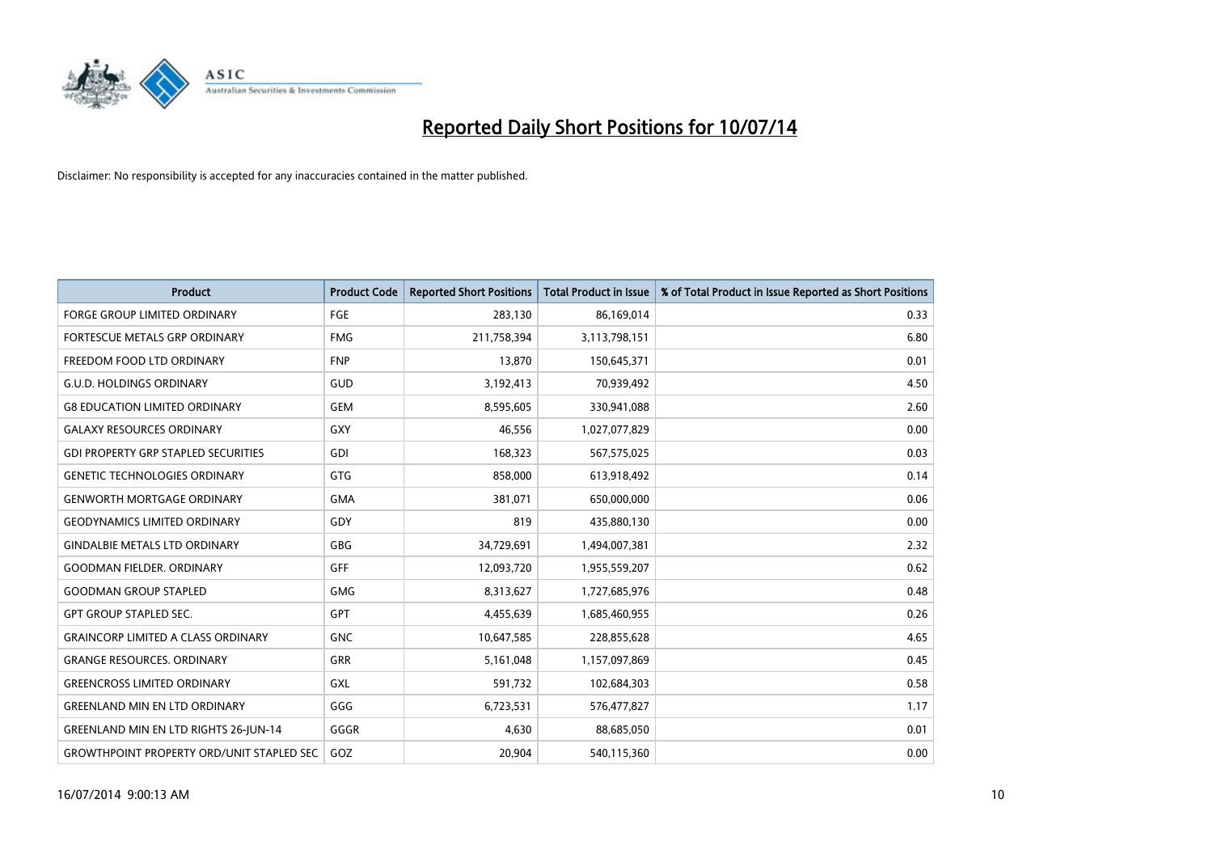

| <b>Product</b>                                   | <b>Product Code</b> | <b>Reported Short Positions</b> | <b>Total Product in Issue</b> | % of Total Product in Issue Reported as Short Positions |
|--------------------------------------------------|---------------------|---------------------------------|-------------------------------|---------------------------------------------------------|
| <b>FORGE GROUP LIMITED ORDINARY</b>              | <b>FGE</b>          | 283,130                         | 86,169,014                    | 0.33                                                    |
| FORTESCUE METALS GRP ORDINARY                    | <b>FMG</b>          | 211,758,394                     | 3,113,798,151                 | 6.80                                                    |
| FREEDOM FOOD LTD ORDINARY                        | <b>FNP</b>          | 13,870                          | 150,645,371                   | 0.01                                                    |
| <b>G.U.D. HOLDINGS ORDINARY</b>                  | GUD                 | 3,192,413                       | 70,939,492                    | 4.50                                                    |
| <b>G8 EDUCATION LIMITED ORDINARY</b>             | <b>GEM</b>          | 8,595,605                       | 330,941,088                   | 2.60                                                    |
| <b>GALAXY RESOURCES ORDINARY</b>                 | <b>GXY</b>          | 46,556                          | 1,027,077,829                 | 0.00                                                    |
| <b>GDI PROPERTY GRP STAPLED SECURITIES</b>       | GDI                 | 168,323                         | 567,575,025                   | 0.03                                                    |
| <b>GENETIC TECHNOLOGIES ORDINARY</b>             | <b>GTG</b>          | 858,000                         | 613,918,492                   | 0.14                                                    |
| <b>GENWORTH MORTGAGE ORDINARY</b>                | <b>GMA</b>          | 381,071                         | 650,000,000                   | 0.06                                                    |
| <b>GEODYNAMICS LIMITED ORDINARY</b>              | GDY                 | 819                             | 435,880,130                   | 0.00                                                    |
| <b>GINDALBIE METALS LTD ORDINARY</b>             | GBG                 | 34,729,691                      | 1,494,007,381                 | 2.32                                                    |
| <b>GOODMAN FIELDER, ORDINARY</b>                 | <b>GFF</b>          | 12,093,720                      | 1,955,559,207                 | 0.62                                                    |
| <b>GOODMAN GROUP STAPLED</b>                     | <b>GMG</b>          | 8,313,627                       | 1,727,685,976                 | 0.48                                                    |
| <b>GPT GROUP STAPLED SEC.</b>                    | <b>GPT</b>          | 4,455,639                       | 1,685,460,955                 | 0.26                                                    |
| <b>GRAINCORP LIMITED A CLASS ORDINARY</b>        | <b>GNC</b>          | 10,647,585                      | 228,855,628                   | 4.65                                                    |
| <b>GRANGE RESOURCES. ORDINARY</b>                | GRR                 | 5,161,048                       | 1,157,097,869                 | 0.45                                                    |
| <b>GREENCROSS LIMITED ORDINARY</b>               | <b>GXL</b>          | 591,732                         | 102,684,303                   | 0.58                                                    |
| <b>GREENLAND MIN EN LTD ORDINARY</b>             | GGG                 | 6,723,531                       | 576,477,827                   | 1.17                                                    |
| <b>GREENLAND MIN EN LTD RIGHTS 26-JUN-14</b>     | GGGR                | 4,630                           | 88,685,050                    | 0.01                                                    |
| <b>GROWTHPOINT PROPERTY ORD/UNIT STAPLED SEC</b> | GOZ                 | 20,904                          | 540,115,360                   | 0.00                                                    |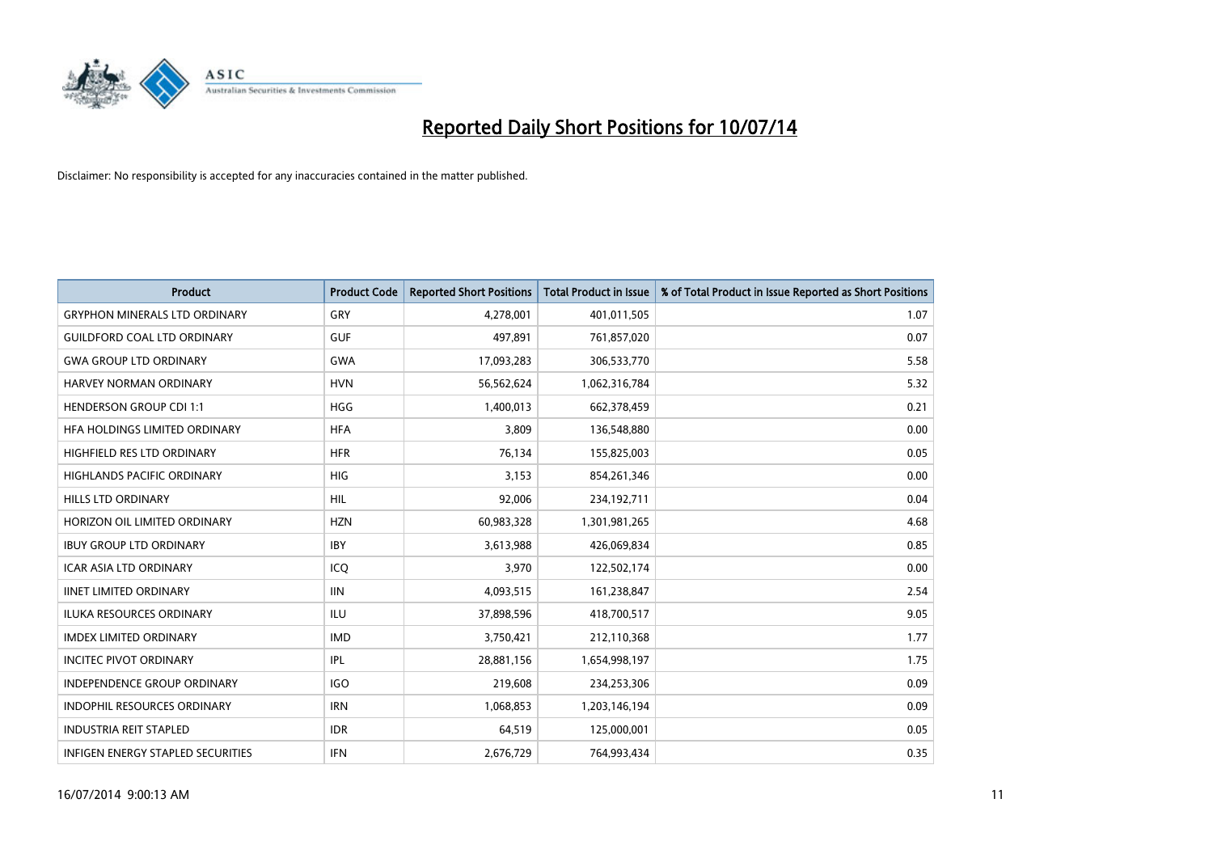

| <b>Product</b>                       | <b>Product Code</b> | <b>Reported Short Positions</b> | <b>Total Product in Issue</b> | % of Total Product in Issue Reported as Short Positions |
|--------------------------------------|---------------------|---------------------------------|-------------------------------|---------------------------------------------------------|
| <b>GRYPHON MINERALS LTD ORDINARY</b> | GRY                 | 4,278,001                       | 401,011,505                   | 1.07                                                    |
| <b>GUILDFORD COAL LTD ORDINARY</b>   | <b>GUF</b>          | 497,891                         | 761,857,020                   | 0.07                                                    |
| <b>GWA GROUP LTD ORDINARY</b>        | <b>GWA</b>          | 17,093,283                      | 306,533,770                   | 5.58                                                    |
| <b>HARVEY NORMAN ORDINARY</b>        | <b>HVN</b>          | 56,562,624                      | 1,062,316,784                 | 5.32                                                    |
| <b>HENDERSON GROUP CDI 1:1</b>       | <b>HGG</b>          | 1,400,013                       | 662,378,459                   | 0.21                                                    |
| HFA HOLDINGS LIMITED ORDINARY        | <b>HFA</b>          | 3,809                           | 136,548,880                   | 0.00                                                    |
| HIGHFIELD RES LTD ORDINARY           | <b>HFR</b>          | 76,134                          | 155,825,003                   | 0.05                                                    |
| HIGHLANDS PACIFIC ORDINARY           | <b>HIG</b>          | 3,153                           | 854,261,346                   | 0.00                                                    |
| <b>HILLS LTD ORDINARY</b>            | HIL.                | 92,006                          | 234,192,711                   | 0.04                                                    |
| HORIZON OIL LIMITED ORDINARY         | <b>HZN</b>          | 60,983,328                      | 1,301,981,265                 | 4.68                                                    |
| <b>IBUY GROUP LTD ORDINARY</b>       | <b>IBY</b>          | 3,613,988                       | 426,069,834                   | 0.85                                                    |
| <b>ICAR ASIA LTD ORDINARY</b>        | ICQ                 | 3,970                           | 122,502,174                   | 0.00                                                    |
| <b>IINET LIMITED ORDINARY</b>        | <b>IIN</b>          | 4,093,515                       | 161,238,847                   | 2.54                                                    |
| <b>ILUKA RESOURCES ORDINARY</b>      | ILU                 | 37,898,596                      | 418,700,517                   | 9.05                                                    |
| <b>IMDEX LIMITED ORDINARY</b>        | <b>IMD</b>          | 3,750,421                       | 212,110,368                   | 1.77                                                    |
| <b>INCITEC PIVOT ORDINARY</b>        | IPL                 | 28,881,156                      | 1,654,998,197                 | 1.75                                                    |
| INDEPENDENCE GROUP ORDINARY          | <b>IGO</b>          | 219,608                         | 234,253,306                   | 0.09                                                    |
| INDOPHIL RESOURCES ORDINARY          | <b>IRN</b>          | 1,068,853                       | 1,203,146,194                 | 0.09                                                    |
| <b>INDUSTRIA REIT STAPLED</b>        | <b>IDR</b>          | 64,519                          | 125,000,001                   | 0.05                                                    |
| INFIGEN ENERGY STAPLED SECURITIES    | <b>IFN</b>          | 2,676,729                       | 764,993,434                   | 0.35                                                    |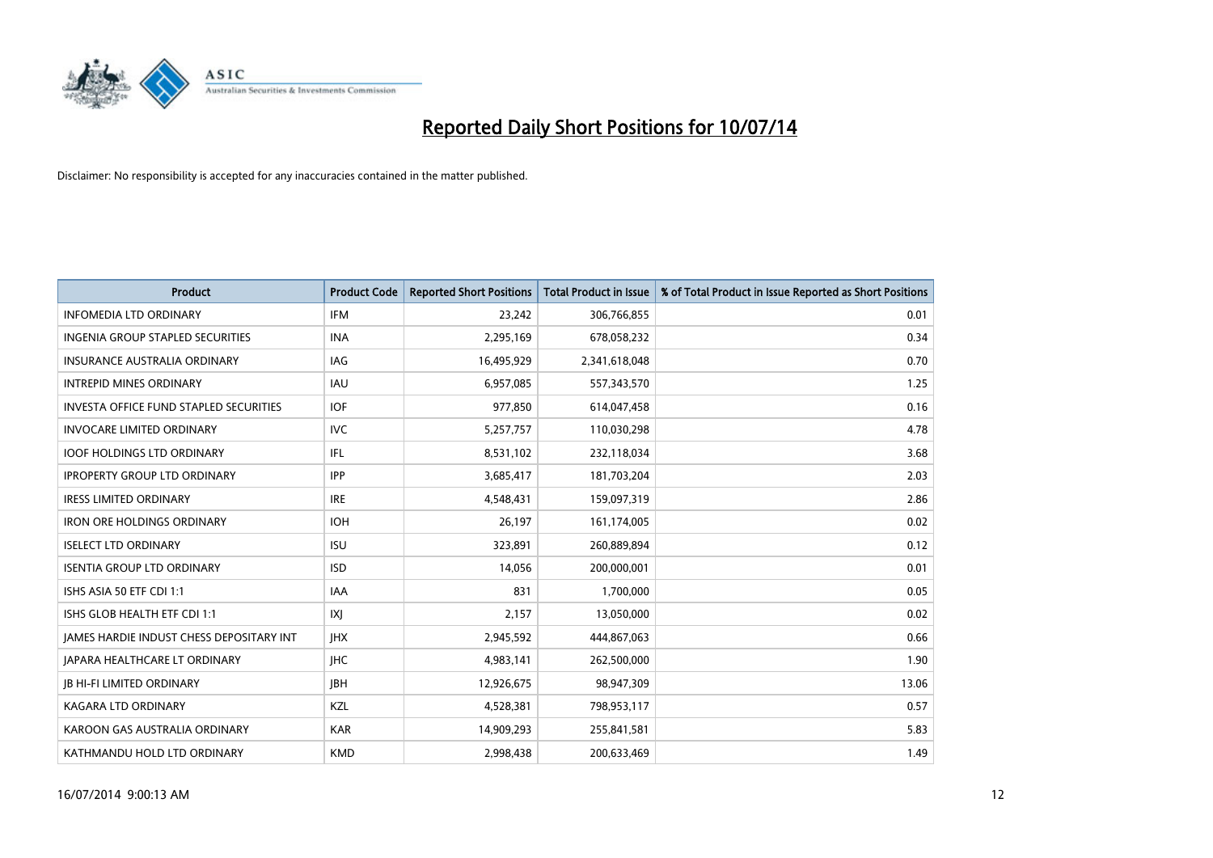

| <b>Product</b>                                | <b>Product Code</b> | <b>Reported Short Positions</b> | <b>Total Product in Issue</b> | % of Total Product in Issue Reported as Short Positions |
|-----------------------------------------------|---------------------|---------------------------------|-------------------------------|---------------------------------------------------------|
| <b>INFOMEDIA LTD ORDINARY</b>                 | <b>IFM</b>          | 23,242                          | 306,766,855                   | 0.01                                                    |
| INGENIA GROUP STAPLED SECURITIES              | <b>INA</b>          | 2,295,169                       | 678,058,232                   | 0.34                                                    |
| <b>INSURANCE AUSTRALIA ORDINARY</b>           | IAG                 | 16,495,929                      | 2,341,618,048                 | 0.70                                                    |
| <b>INTREPID MINES ORDINARY</b>                | IAU                 | 6,957,085                       | 557,343,570                   | 1.25                                                    |
| <b>INVESTA OFFICE FUND STAPLED SECURITIES</b> | <b>IOF</b>          | 977,850                         | 614,047,458                   | 0.16                                                    |
| <b>INVOCARE LIMITED ORDINARY</b>              | <b>IVC</b>          | 5,257,757                       | 110,030,298                   | 4.78                                                    |
| <b>IOOF HOLDINGS LTD ORDINARY</b>             | IFL                 | 8,531,102                       | 232,118,034                   | 3.68                                                    |
| <b>IPROPERTY GROUP LTD ORDINARY</b>           | <b>IPP</b>          | 3,685,417                       | 181,703,204                   | 2.03                                                    |
| <b>IRESS LIMITED ORDINARY</b>                 | <b>IRE</b>          | 4,548,431                       | 159,097,319                   | 2.86                                                    |
| <b>IRON ORE HOLDINGS ORDINARY</b>             | <b>IOH</b>          | 26,197                          | 161,174,005                   | 0.02                                                    |
| <b>ISELECT LTD ORDINARY</b>                   | <b>ISU</b>          | 323,891                         | 260,889,894                   | 0.12                                                    |
| <b>ISENTIA GROUP LTD ORDINARY</b>             | <b>ISD</b>          | 14,056                          | 200,000,001                   | 0.01                                                    |
| ISHS ASIA 50 ETF CDI 1:1                      | <b>IAA</b>          | 831                             | 1,700,000                     | 0.05                                                    |
| ISHS GLOB HEALTH ETF CDI 1:1                  | X                   | 2,157                           | 13,050,000                    | 0.02                                                    |
| JAMES HARDIE INDUST CHESS DEPOSITARY INT      | <b>IHX</b>          | 2,945,592                       | 444,867,063                   | 0.66                                                    |
| <b>JAPARA HEALTHCARE LT ORDINARY</b>          | <b>IHC</b>          | 4,983,141                       | 262,500,000                   | 1.90                                                    |
| <b>JB HI-FI LIMITED ORDINARY</b>              | <b>IBH</b>          | 12,926,675                      | 98,947,309                    | 13.06                                                   |
| <b>KAGARA LTD ORDINARY</b>                    | KZL                 | 4,528,381                       | 798,953,117                   | 0.57                                                    |
| KAROON GAS AUSTRALIA ORDINARY                 | <b>KAR</b>          | 14,909,293                      | 255,841,581                   | 5.83                                                    |
| KATHMANDU HOLD LTD ORDINARY                   | <b>KMD</b>          | 2,998,438                       | 200,633,469                   | 1.49                                                    |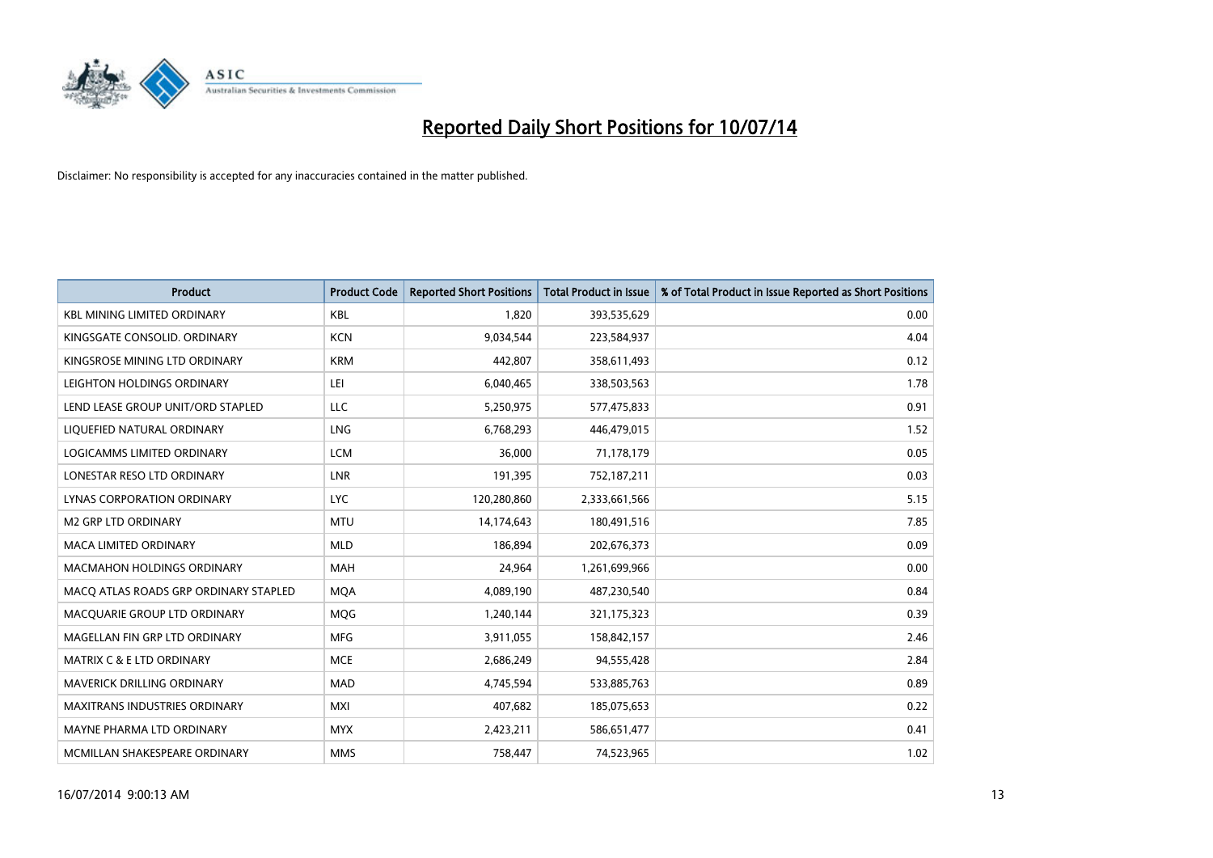

| <b>Product</b>                        | <b>Product Code</b> | <b>Reported Short Positions</b> | <b>Total Product in Issue</b> | % of Total Product in Issue Reported as Short Positions |
|---------------------------------------|---------------------|---------------------------------|-------------------------------|---------------------------------------------------------|
| <b>KBL MINING LIMITED ORDINARY</b>    | <b>KBL</b>          | 1,820                           | 393,535,629                   | 0.00                                                    |
| KINGSGATE CONSOLID. ORDINARY          | <b>KCN</b>          | 9,034,544                       | 223,584,937                   | 4.04                                                    |
| KINGSROSE MINING LTD ORDINARY         | <b>KRM</b>          | 442,807                         | 358,611,493                   | 0.12                                                    |
| LEIGHTON HOLDINGS ORDINARY            | LEI                 | 6,040,465                       | 338,503,563                   | 1.78                                                    |
| LEND LEASE GROUP UNIT/ORD STAPLED     | LLC                 | 5,250,975                       | 577,475,833                   | 0.91                                                    |
| LIQUEFIED NATURAL ORDINARY            | LNG                 | 6,768,293                       | 446,479,015                   | 1.52                                                    |
| <b>LOGICAMMS LIMITED ORDINARY</b>     | <b>LCM</b>          | 36,000                          | 71,178,179                    | 0.05                                                    |
| LONESTAR RESO LTD ORDINARY            | <b>LNR</b>          | 191,395                         | 752,187,211                   | 0.03                                                    |
| LYNAS CORPORATION ORDINARY            | <b>LYC</b>          | 120,280,860                     | 2,333,661,566                 | 5.15                                                    |
| <b>M2 GRP LTD ORDINARY</b>            | <b>MTU</b>          | 14,174,643                      | 180,491,516                   | 7.85                                                    |
| <b>MACA LIMITED ORDINARY</b>          | <b>MLD</b>          | 186,894                         | 202,676,373                   | 0.09                                                    |
| MACMAHON HOLDINGS ORDINARY            | MAH                 | 24,964                          | 1,261,699,966                 | 0.00                                                    |
| MACO ATLAS ROADS GRP ORDINARY STAPLED | <b>MOA</b>          | 4,089,190                       | 487,230,540                   | 0.84                                                    |
| MACQUARIE GROUP LTD ORDINARY          | <b>MQG</b>          | 1,240,144                       | 321,175,323                   | 0.39                                                    |
| MAGELLAN FIN GRP LTD ORDINARY         | <b>MFG</b>          | 3,911,055                       | 158,842,157                   | 2.46                                                    |
| <b>MATRIX C &amp; E LTD ORDINARY</b>  | <b>MCE</b>          | 2,686,249                       | 94,555,428                    | 2.84                                                    |
| MAVERICK DRILLING ORDINARY            | MAD                 | 4,745,594                       | 533,885,763                   | 0.89                                                    |
| <b>MAXITRANS INDUSTRIES ORDINARY</b>  | <b>MXI</b>          | 407,682                         | 185,075,653                   | 0.22                                                    |
| MAYNE PHARMA LTD ORDINARY             | <b>MYX</b>          | 2,423,211                       | 586,651,477                   | 0.41                                                    |
| MCMILLAN SHAKESPEARE ORDINARY         | <b>MMS</b>          | 758,447                         | 74,523,965                    | 1.02                                                    |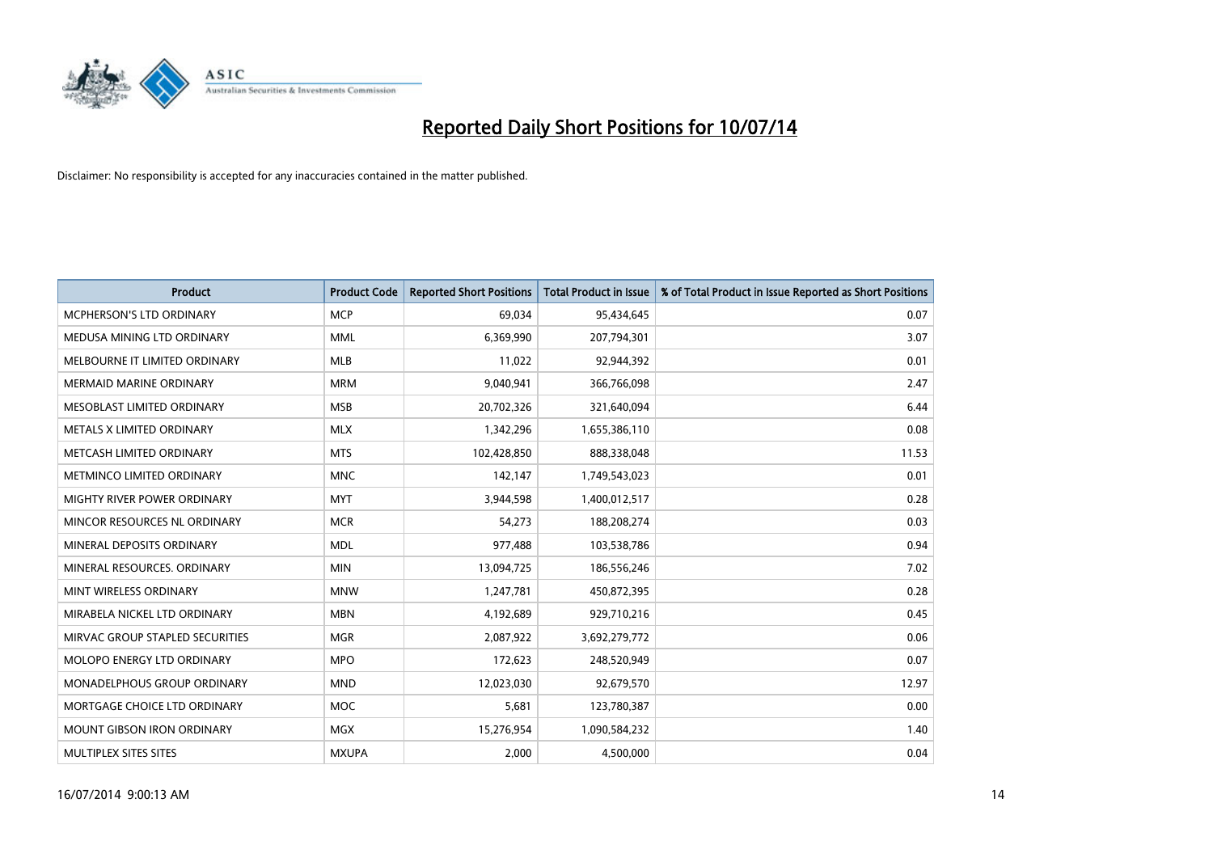

| <b>Product</b>                    | <b>Product Code</b> | <b>Reported Short Positions</b> | <b>Total Product in Issue</b> | % of Total Product in Issue Reported as Short Positions |
|-----------------------------------|---------------------|---------------------------------|-------------------------------|---------------------------------------------------------|
| <b>MCPHERSON'S LTD ORDINARY</b>   | <b>MCP</b>          | 69,034                          | 95,434,645                    | 0.07                                                    |
| MEDUSA MINING LTD ORDINARY        | <b>MML</b>          | 6,369,990                       | 207,794,301                   | 3.07                                                    |
| MELBOURNE IT LIMITED ORDINARY     | <b>MLB</b>          | 11,022                          | 92,944,392                    | 0.01                                                    |
| MERMAID MARINE ORDINARY           | <b>MRM</b>          | 9,040,941                       | 366,766,098                   | 2.47                                                    |
| MESOBLAST LIMITED ORDINARY        | <b>MSB</b>          | 20,702,326                      | 321,640,094                   | 6.44                                                    |
| METALS X LIMITED ORDINARY         | <b>MLX</b>          | 1,342,296                       | 1,655,386,110                 | 0.08                                                    |
| METCASH LIMITED ORDINARY          | <b>MTS</b>          | 102,428,850                     | 888,338,048                   | 11.53                                                   |
| METMINCO LIMITED ORDINARY         | <b>MNC</b>          | 142,147                         | 1,749,543,023                 | 0.01                                                    |
| MIGHTY RIVER POWER ORDINARY       | <b>MYT</b>          | 3,944,598                       | 1,400,012,517                 | 0.28                                                    |
| MINCOR RESOURCES NL ORDINARY      | <b>MCR</b>          | 54,273                          | 188,208,274                   | 0.03                                                    |
| MINERAL DEPOSITS ORDINARY         | <b>MDL</b>          | 977,488                         | 103,538,786                   | 0.94                                                    |
| MINERAL RESOURCES, ORDINARY       | <b>MIN</b>          | 13,094,725                      | 186,556,246                   | 7.02                                                    |
| MINT WIRELESS ORDINARY            | <b>MNW</b>          | 1,247,781                       | 450,872,395                   | 0.28                                                    |
| MIRABELA NICKEL LTD ORDINARY      | <b>MBN</b>          | 4,192,689                       | 929,710,216                   | 0.45                                                    |
| MIRVAC GROUP STAPLED SECURITIES   | <b>MGR</b>          | 2,087,922                       | 3,692,279,772                 | 0.06                                                    |
| MOLOPO ENERGY LTD ORDINARY        | <b>MPO</b>          | 172,623                         | 248,520,949                   | 0.07                                                    |
| MONADELPHOUS GROUP ORDINARY       | <b>MND</b>          | 12,023,030                      | 92,679,570                    | 12.97                                                   |
| MORTGAGE CHOICE LTD ORDINARY      | MOC                 | 5,681                           | 123,780,387                   | 0.00                                                    |
| <b>MOUNT GIBSON IRON ORDINARY</b> | <b>MGX</b>          | 15,276,954                      | 1,090,584,232                 | 1.40                                                    |
| MULTIPLEX SITES SITES             | <b>MXUPA</b>        | 2,000                           | 4,500,000                     | 0.04                                                    |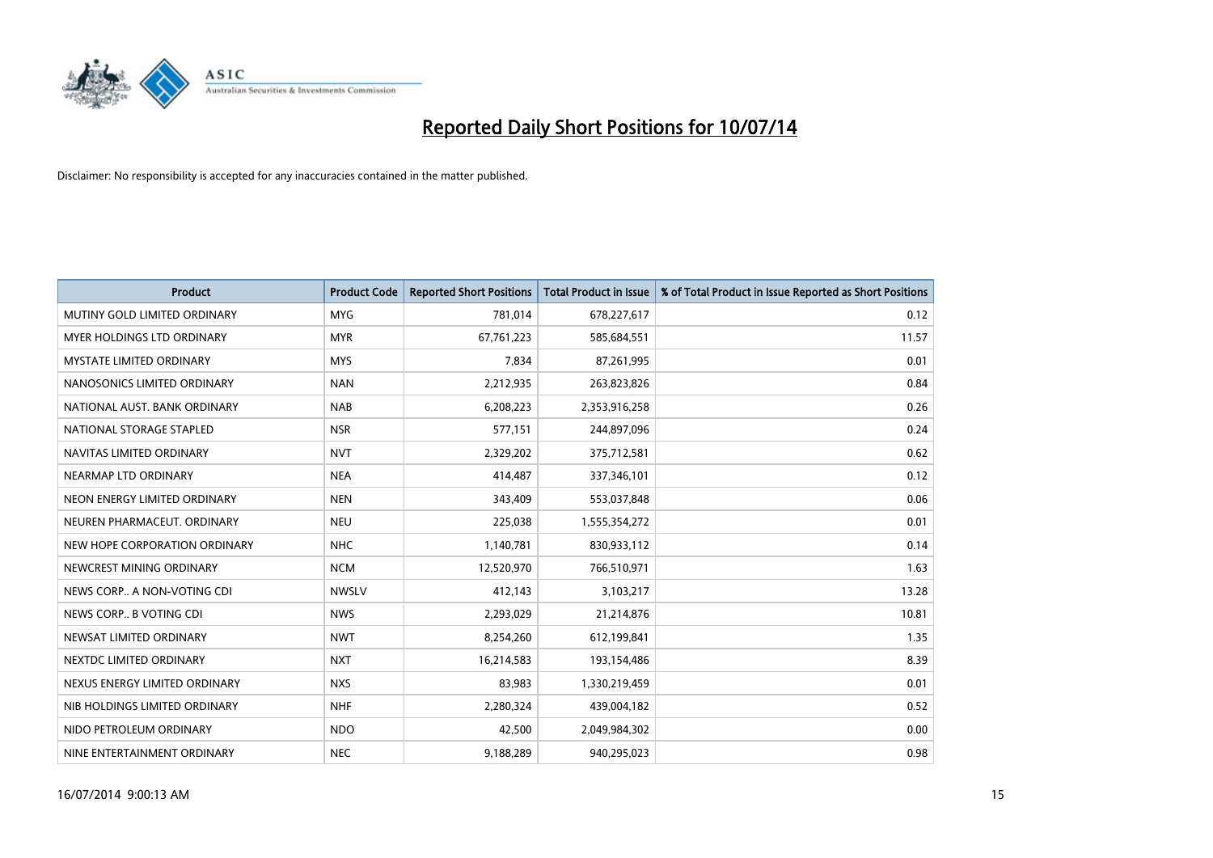

| <b>Product</b>                  | <b>Product Code</b> | <b>Reported Short Positions</b> | <b>Total Product in Issue</b> | % of Total Product in Issue Reported as Short Positions |
|---------------------------------|---------------------|---------------------------------|-------------------------------|---------------------------------------------------------|
| MUTINY GOLD LIMITED ORDINARY    | <b>MYG</b>          | 781,014                         | 678,227,617                   | 0.12                                                    |
| MYER HOLDINGS LTD ORDINARY      | <b>MYR</b>          | 67,761,223                      | 585,684,551                   | 11.57                                                   |
| <b>MYSTATE LIMITED ORDINARY</b> | <b>MYS</b>          | 7,834                           | 87,261,995                    | 0.01                                                    |
| NANOSONICS LIMITED ORDINARY     | <b>NAN</b>          | 2,212,935                       | 263,823,826                   | 0.84                                                    |
| NATIONAL AUST, BANK ORDINARY    | <b>NAB</b>          | 6,208,223                       | 2,353,916,258                 | 0.26                                                    |
| NATIONAL STORAGE STAPLED        | <b>NSR</b>          | 577,151                         | 244,897,096                   | 0.24                                                    |
| NAVITAS LIMITED ORDINARY        | <b>NVT</b>          | 2,329,202                       | 375,712,581                   | 0.62                                                    |
| NEARMAP LTD ORDINARY            | <b>NEA</b>          | 414,487                         | 337,346,101                   | 0.12                                                    |
| NEON ENERGY LIMITED ORDINARY    | <b>NEN</b>          | 343,409                         | 553,037,848                   | 0.06                                                    |
| NEUREN PHARMACEUT, ORDINARY     | <b>NEU</b>          | 225,038                         | 1,555,354,272                 | 0.01                                                    |
| NEW HOPE CORPORATION ORDINARY   | <b>NHC</b>          | 1,140,781                       | 830,933,112                   | 0.14                                                    |
| NEWCREST MINING ORDINARY        | <b>NCM</b>          | 12,520,970                      | 766,510,971                   | 1.63                                                    |
| NEWS CORP A NON-VOTING CDI      | <b>NWSLV</b>        | 412,143                         | 3,103,217                     | 13.28                                                   |
| NEWS CORP B VOTING CDI          | <b>NWS</b>          | 2,293,029                       | 21,214,876                    | 10.81                                                   |
| NEWSAT LIMITED ORDINARY         | <b>NWT</b>          | 8,254,260                       | 612,199,841                   | 1.35                                                    |
| NEXTDC LIMITED ORDINARY         | <b>NXT</b>          | 16,214,583                      | 193,154,486                   | 8.39                                                    |
| NEXUS ENERGY LIMITED ORDINARY   | <b>NXS</b>          | 83,983                          | 1,330,219,459                 | 0.01                                                    |
| NIB HOLDINGS LIMITED ORDINARY   | <b>NHF</b>          | 2,280,324                       | 439,004,182                   | 0.52                                                    |
| NIDO PETROLEUM ORDINARY         | <b>NDO</b>          | 42,500                          | 2,049,984,302                 | 0.00                                                    |
| NINE ENTERTAINMENT ORDINARY     | <b>NEC</b>          | 9,188,289                       | 940.295.023                   | 0.98                                                    |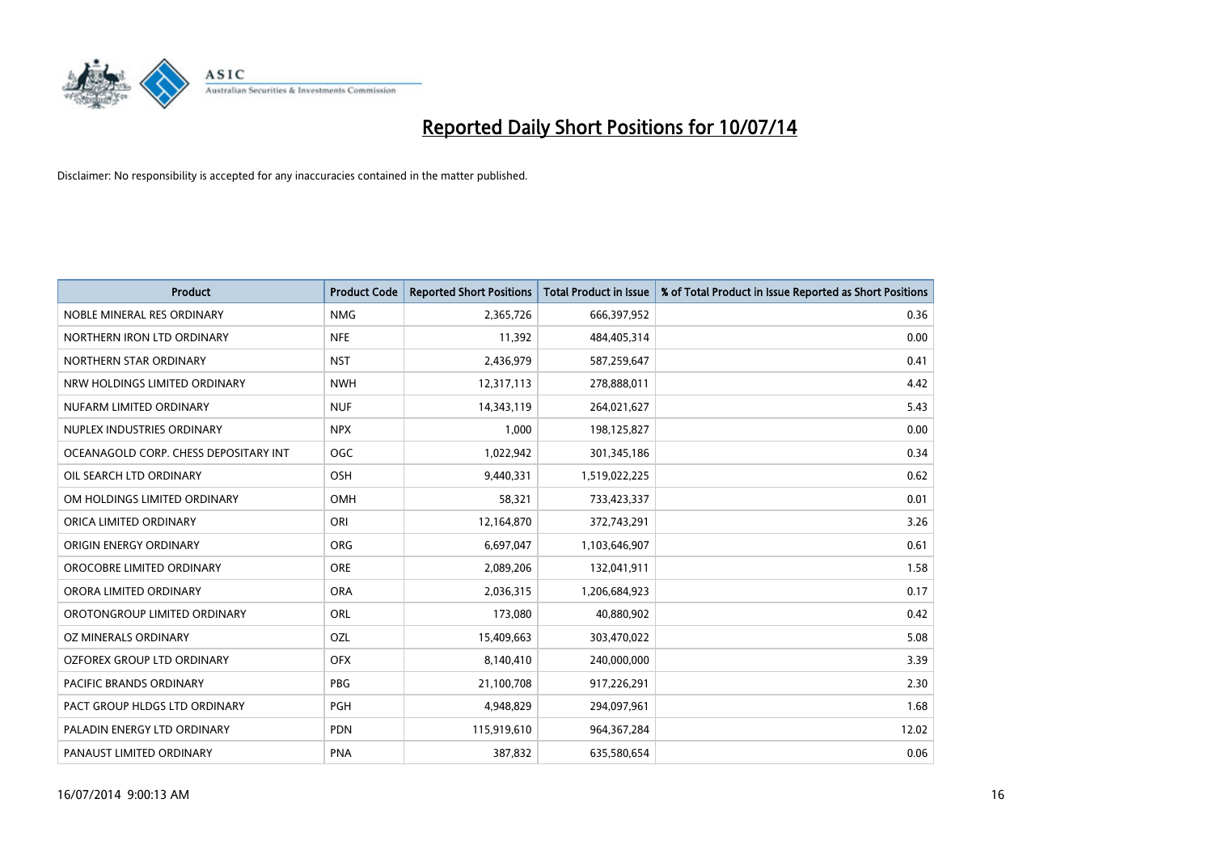

| <b>Product</b>                        | <b>Product Code</b> | <b>Reported Short Positions</b> | <b>Total Product in Issue</b> | % of Total Product in Issue Reported as Short Positions |
|---------------------------------------|---------------------|---------------------------------|-------------------------------|---------------------------------------------------------|
| NOBLE MINERAL RES ORDINARY            | <b>NMG</b>          | 2,365,726                       | 666,397,952                   | 0.36                                                    |
| NORTHERN IRON LTD ORDINARY            | <b>NFE</b>          | 11,392                          | 484,405,314                   | 0.00                                                    |
| NORTHERN STAR ORDINARY                | <b>NST</b>          | 2,436,979                       | 587,259,647                   | 0.41                                                    |
| NRW HOLDINGS LIMITED ORDINARY         | <b>NWH</b>          | 12,317,113                      | 278,888,011                   | 4.42                                                    |
| NUFARM LIMITED ORDINARY               | <b>NUF</b>          | 14,343,119                      | 264,021,627                   | 5.43                                                    |
| NUPLEX INDUSTRIES ORDINARY            | <b>NPX</b>          | 1,000                           | 198,125,827                   | 0.00                                                    |
| OCEANAGOLD CORP. CHESS DEPOSITARY INT | <b>OGC</b>          | 1,022,942                       | 301,345,186                   | 0.34                                                    |
| OIL SEARCH LTD ORDINARY               | OSH                 | 9,440,331                       | 1,519,022,225                 | 0.62                                                    |
| OM HOLDINGS LIMITED ORDINARY          | <b>OMH</b>          | 58,321                          | 733,423,337                   | 0.01                                                    |
| ORICA LIMITED ORDINARY                | ORI                 | 12,164,870                      | 372,743,291                   | 3.26                                                    |
| ORIGIN ENERGY ORDINARY                | <b>ORG</b>          | 6,697,047                       | 1,103,646,907                 | 0.61                                                    |
| OROCOBRE LIMITED ORDINARY             | <b>ORE</b>          | 2,089,206                       | 132,041,911                   | 1.58                                                    |
| ORORA LIMITED ORDINARY                | <b>ORA</b>          | 2,036,315                       | 1,206,684,923                 | 0.17                                                    |
| OROTONGROUP LIMITED ORDINARY          | ORL                 | 173,080                         | 40,880,902                    | 0.42                                                    |
| <b>OZ MINERALS ORDINARY</b>           | OZL                 | 15,409,663                      | 303,470,022                   | 5.08                                                    |
| <b>OZFOREX GROUP LTD ORDINARY</b>     | <b>OFX</b>          | 8,140,410                       | 240,000,000                   | 3.39                                                    |
| PACIFIC BRANDS ORDINARY               | PBG                 | 21,100,708                      | 917,226,291                   | 2.30                                                    |
| PACT GROUP HLDGS LTD ORDINARY         | PGH                 | 4,948,829                       | 294,097,961                   | 1.68                                                    |
| PALADIN ENERGY LTD ORDINARY           | <b>PDN</b>          | 115,919,610                     | 964, 367, 284                 | 12.02                                                   |
| PANAUST LIMITED ORDINARY              | <b>PNA</b>          | 387,832                         | 635,580,654                   | 0.06                                                    |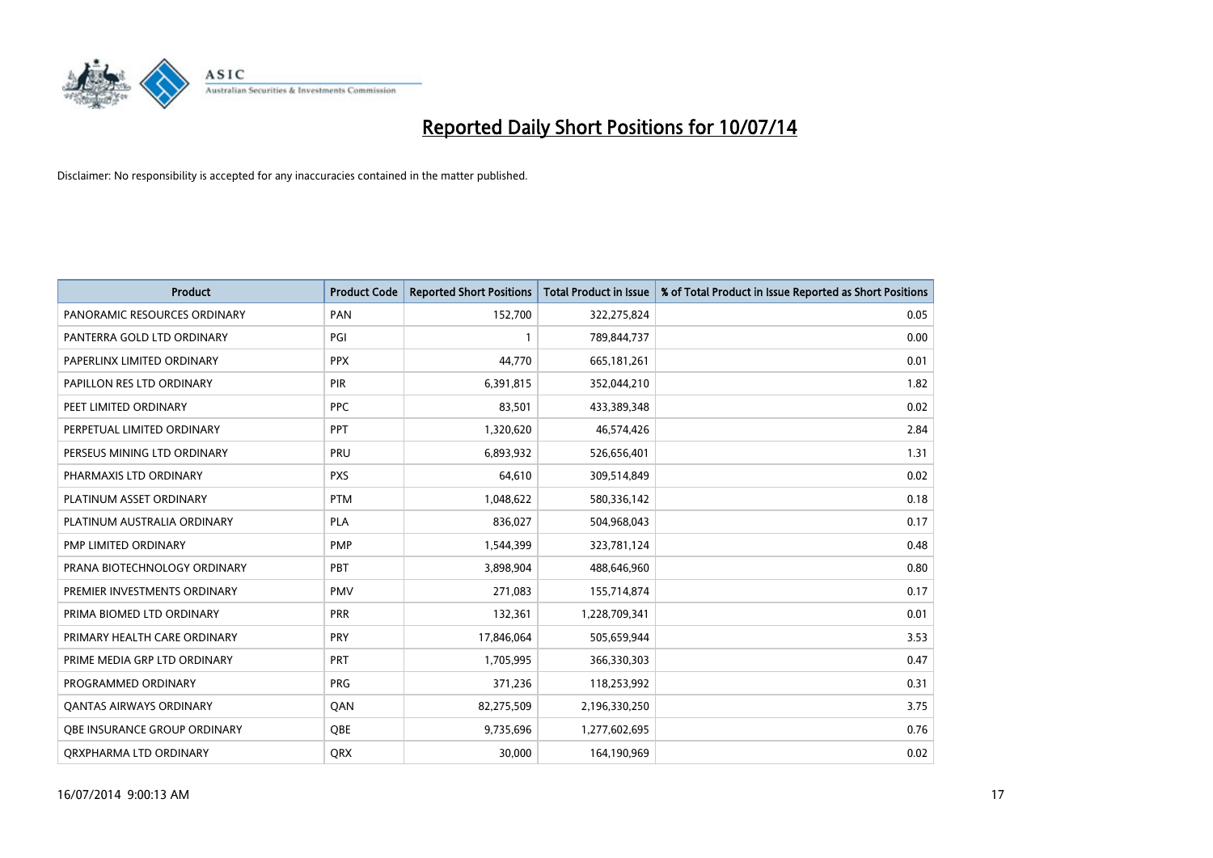

| <b>Product</b>                 | <b>Product Code</b> | <b>Reported Short Positions</b> | <b>Total Product in Issue</b> | % of Total Product in Issue Reported as Short Positions |
|--------------------------------|---------------------|---------------------------------|-------------------------------|---------------------------------------------------------|
| PANORAMIC RESOURCES ORDINARY   | PAN                 | 152,700                         | 322,275,824                   | 0.05                                                    |
| PANTERRA GOLD LTD ORDINARY     | PGI                 |                                 | 789,844,737                   | 0.00                                                    |
| PAPERLINX LIMITED ORDINARY     | <b>PPX</b>          | 44,770                          | 665,181,261                   | 0.01                                                    |
| PAPILLON RES LTD ORDINARY      | PIR                 | 6,391,815                       | 352,044,210                   | 1.82                                                    |
| PEET LIMITED ORDINARY          | <b>PPC</b>          | 83,501                          | 433,389,348                   | 0.02                                                    |
| PERPETUAL LIMITED ORDINARY     | <b>PPT</b>          | 1,320,620                       | 46,574,426                    | 2.84                                                    |
| PERSEUS MINING LTD ORDINARY    | <b>PRU</b>          | 6,893,932                       | 526,656,401                   | 1.31                                                    |
| PHARMAXIS LTD ORDINARY         | <b>PXS</b>          | 64,610                          | 309,514,849                   | 0.02                                                    |
| PLATINUM ASSET ORDINARY        | <b>PTM</b>          | 1,048,622                       | 580,336,142                   | 0.18                                                    |
| PLATINUM AUSTRALIA ORDINARY    | <b>PLA</b>          | 836,027                         | 504,968,043                   | 0.17                                                    |
| PMP LIMITED ORDINARY           | <b>PMP</b>          | 1,544,399                       | 323,781,124                   | 0.48                                                    |
| PRANA BIOTECHNOLOGY ORDINARY   | PBT                 | 3,898,904                       | 488,646,960                   | 0.80                                                    |
| PREMIER INVESTMENTS ORDINARY   | <b>PMV</b>          | 271,083                         | 155,714,874                   | 0.17                                                    |
| PRIMA BIOMED LTD ORDINARY      | <b>PRR</b>          | 132,361                         | 1,228,709,341                 | 0.01                                                    |
| PRIMARY HEALTH CARE ORDINARY   | <b>PRY</b>          | 17,846,064                      | 505,659,944                   | 3.53                                                    |
| PRIME MEDIA GRP LTD ORDINARY   | PRT                 | 1,705,995                       | 366,330,303                   | 0.47                                                    |
| PROGRAMMED ORDINARY            | <b>PRG</b>          | 371,236                         | 118,253,992                   | 0.31                                                    |
| <b>QANTAS AIRWAYS ORDINARY</b> | QAN                 | 82,275,509                      | 2,196,330,250                 | 3.75                                                    |
| OBE INSURANCE GROUP ORDINARY   | <b>OBE</b>          | 9,735,696                       | 1,277,602,695                 | 0.76                                                    |
| ORXPHARMA LTD ORDINARY         | <b>QRX</b>          | 30,000                          | 164,190,969                   | 0.02                                                    |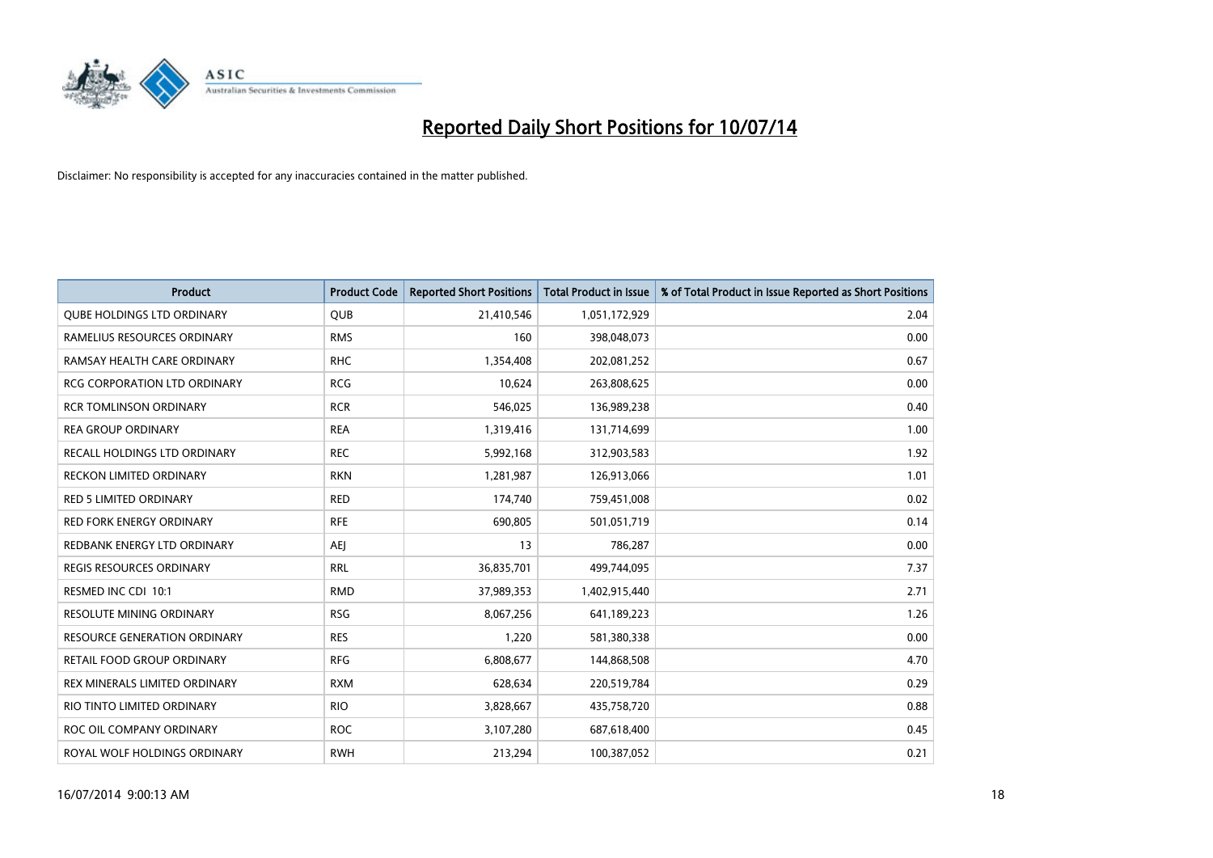

| <b>Product</b>                      | <b>Product Code</b> | <b>Reported Short Positions</b> | <b>Total Product in Issue</b> | % of Total Product in Issue Reported as Short Positions |
|-------------------------------------|---------------------|---------------------------------|-------------------------------|---------------------------------------------------------|
| <b>QUBE HOLDINGS LTD ORDINARY</b>   | <b>QUB</b>          | 21,410,546                      | 1,051,172,929                 | 2.04                                                    |
| RAMELIUS RESOURCES ORDINARY         | <b>RMS</b>          | 160                             | 398,048,073                   | 0.00                                                    |
| RAMSAY HEALTH CARE ORDINARY         | <b>RHC</b>          | 1,354,408                       | 202,081,252                   | 0.67                                                    |
| <b>RCG CORPORATION LTD ORDINARY</b> | <b>RCG</b>          | 10,624                          | 263,808,625                   | 0.00                                                    |
| <b>RCR TOMLINSON ORDINARY</b>       | <b>RCR</b>          | 546,025                         | 136,989,238                   | 0.40                                                    |
| <b>REA GROUP ORDINARY</b>           | <b>REA</b>          | 1,319,416                       | 131,714,699                   | 1.00                                                    |
| RECALL HOLDINGS LTD ORDINARY        | <b>REC</b>          | 5,992,168                       | 312,903,583                   | 1.92                                                    |
| <b>RECKON LIMITED ORDINARY</b>      | <b>RKN</b>          | 1,281,987                       | 126,913,066                   | 1.01                                                    |
| <b>RED 5 LIMITED ORDINARY</b>       | <b>RED</b>          | 174,740                         | 759,451,008                   | 0.02                                                    |
| <b>RED FORK ENERGY ORDINARY</b>     | <b>RFE</b>          | 690,805                         | 501,051,719                   | 0.14                                                    |
| REDBANK ENERGY LTD ORDINARY         | AEJ                 | 13                              | 786,287                       | 0.00                                                    |
| REGIS RESOURCES ORDINARY            | <b>RRL</b>          | 36,835,701                      | 499,744,095                   | 7.37                                                    |
| RESMED INC CDI 10:1                 | <b>RMD</b>          | 37,989,353                      | 1,402,915,440                 | 2.71                                                    |
| <b>RESOLUTE MINING ORDINARY</b>     | <b>RSG</b>          | 8,067,256                       | 641,189,223                   | 1.26                                                    |
| <b>RESOURCE GENERATION ORDINARY</b> | <b>RES</b>          | 1,220                           | 581,380,338                   | 0.00                                                    |
| RETAIL FOOD GROUP ORDINARY          | <b>RFG</b>          | 6,808,677                       | 144,868,508                   | 4.70                                                    |
| REX MINERALS LIMITED ORDINARY       | <b>RXM</b>          | 628,634                         | 220,519,784                   | 0.29                                                    |
| RIO TINTO LIMITED ORDINARY          | <b>RIO</b>          | 3,828,667                       | 435,758,720                   | 0.88                                                    |
| ROC OIL COMPANY ORDINARY            | <b>ROC</b>          | 3,107,280                       | 687,618,400                   | 0.45                                                    |
| ROYAL WOLF HOLDINGS ORDINARY        | <b>RWH</b>          | 213,294                         | 100,387,052                   | 0.21                                                    |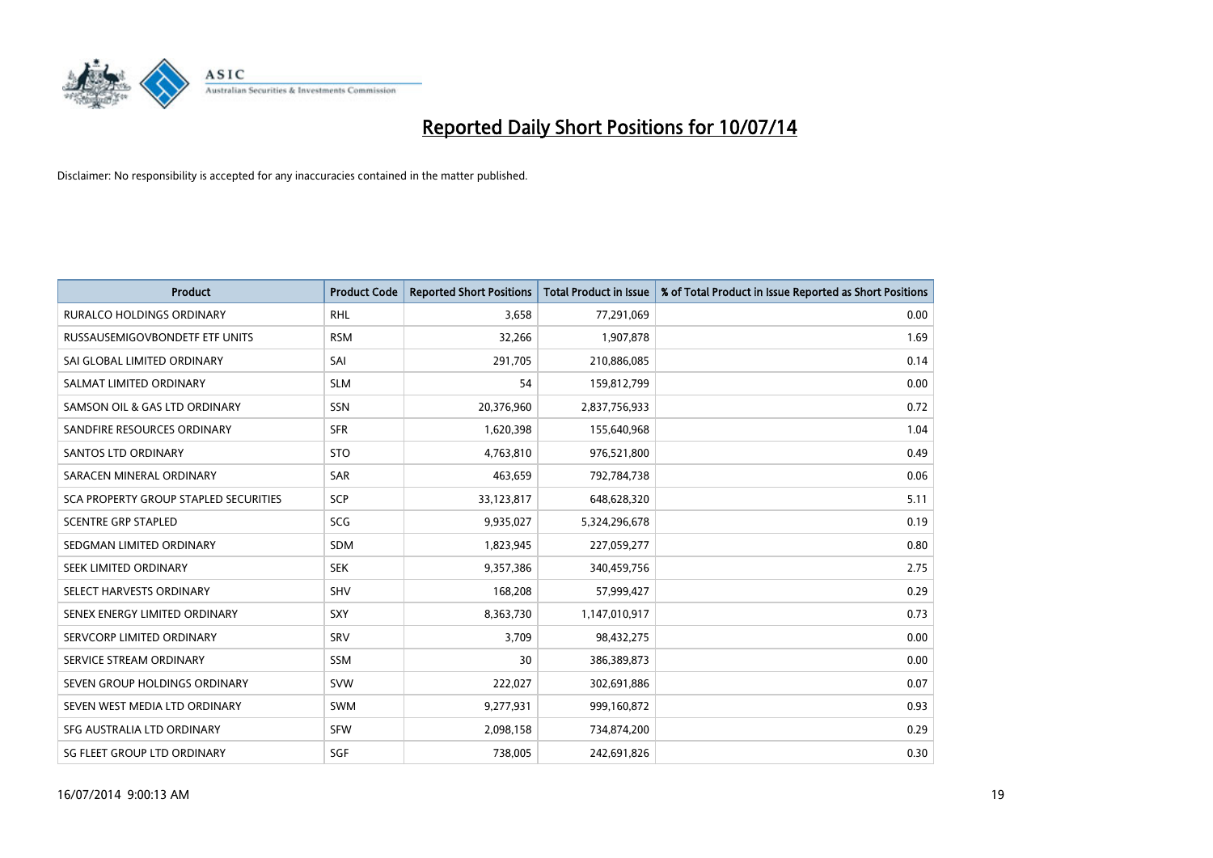

| <b>Product</b>                               | <b>Product Code</b> | <b>Reported Short Positions</b> | <b>Total Product in Issue</b> | % of Total Product in Issue Reported as Short Positions |
|----------------------------------------------|---------------------|---------------------------------|-------------------------------|---------------------------------------------------------|
| <b>RURALCO HOLDINGS ORDINARY</b>             | <b>RHL</b>          | 3,658                           | 77,291,069                    | 0.00                                                    |
| RUSSAUSEMIGOVBONDETF ETF UNITS               | <b>RSM</b>          | 32,266                          | 1,907,878                     | 1.69                                                    |
| SAI GLOBAL LIMITED ORDINARY                  | SAI                 | 291,705                         | 210,886,085                   | 0.14                                                    |
| SALMAT LIMITED ORDINARY                      | <b>SLM</b>          | 54                              | 159,812,799                   | 0.00                                                    |
| SAMSON OIL & GAS LTD ORDINARY                | SSN                 | 20,376,960                      | 2,837,756,933                 | 0.72                                                    |
| SANDFIRE RESOURCES ORDINARY                  | <b>SFR</b>          | 1,620,398                       | 155,640,968                   | 1.04                                                    |
| <b>SANTOS LTD ORDINARY</b>                   | <b>STO</b>          | 4,763,810                       | 976,521,800                   | 0.49                                                    |
| SARACEN MINERAL ORDINARY                     | SAR                 | 463,659                         | 792,784,738                   | 0.06                                                    |
| <b>SCA PROPERTY GROUP STAPLED SECURITIES</b> | <b>SCP</b>          | 33,123,817                      | 648,628,320                   | 5.11                                                    |
| <b>SCENTRE GRP STAPLED</b>                   | SCG                 | 9,935,027                       | 5,324,296,678                 | 0.19                                                    |
| SEDGMAN LIMITED ORDINARY                     | SDM                 | 1,823,945                       | 227,059,277                   | 0.80                                                    |
| SEEK LIMITED ORDINARY                        | <b>SEK</b>          | 9,357,386                       | 340,459,756                   | 2.75                                                    |
| SELECT HARVESTS ORDINARY                     | <b>SHV</b>          | 168,208                         | 57,999,427                    | 0.29                                                    |
| SENEX ENERGY LIMITED ORDINARY                | <b>SXY</b>          | 8,363,730                       | 1,147,010,917                 | 0.73                                                    |
| SERVCORP LIMITED ORDINARY                    | SRV                 | 3,709                           | 98,432,275                    | 0.00                                                    |
| SERVICE STREAM ORDINARY                      | SSM                 | 30                              | 386,389,873                   | 0.00                                                    |
| SEVEN GROUP HOLDINGS ORDINARY                | <b>SVW</b>          | 222,027                         | 302,691,886                   | 0.07                                                    |
| SEVEN WEST MEDIA LTD ORDINARY                | <b>SWM</b>          | 9,277,931                       | 999,160,872                   | 0.93                                                    |
| SFG AUSTRALIA LTD ORDINARY                   | <b>SFW</b>          | 2,098,158                       | 734,874,200                   | 0.29                                                    |
| SG FLEET GROUP LTD ORDINARY                  | SGF                 | 738,005                         | 242,691,826                   | 0.30                                                    |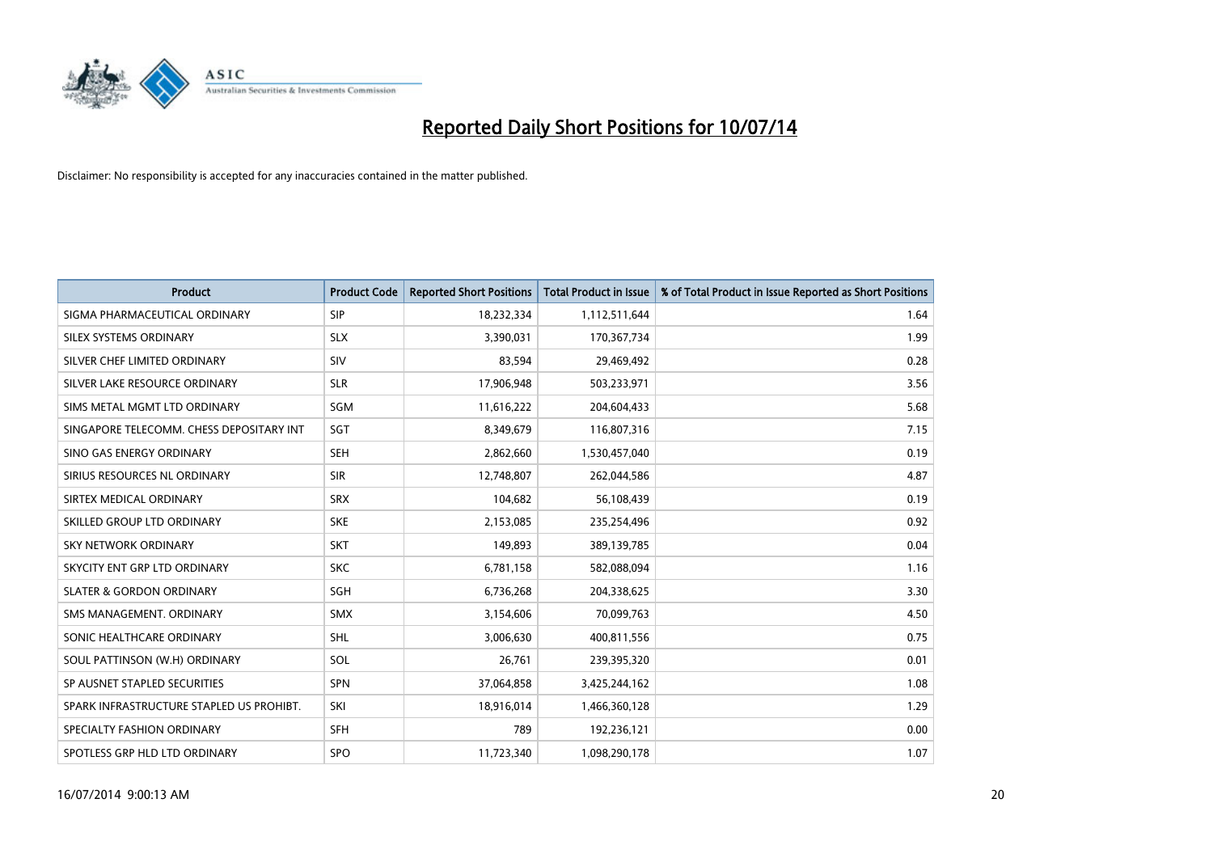

| <b>Product</b>                           | <b>Product Code</b> | <b>Reported Short Positions</b> | <b>Total Product in Issue</b> | % of Total Product in Issue Reported as Short Positions |
|------------------------------------------|---------------------|---------------------------------|-------------------------------|---------------------------------------------------------|
| SIGMA PHARMACEUTICAL ORDINARY            | <b>SIP</b>          | 18,232,334                      | 1,112,511,644                 | 1.64                                                    |
| SILEX SYSTEMS ORDINARY                   | <b>SLX</b>          | 3,390,031                       | 170,367,734                   | 1.99                                                    |
| SILVER CHEF LIMITED ORDINARY             | SIV                 | 83,594                          | 29,469,492                    | 0.28                                                    |
| SILVER LAKE RESOURCE ORDINARY            | <b>SLR</b>          | 17,906,948                      | 503,233,971                   | 3.56                                                    |
| SIMS METAL MGMT LTD ORDINARY             | SGM                 | 11,616,222                      | 204,604,433                   | 5.68                                                    |
| SINGAPORE TELECOMM. CHESS DEPOSITARY INT | SGT                 | 8,349,679                       | 116,807,316                   | 7.15                                                    |
| SINO GAS ENERGY ORDINARY                 | <b>SEH</b>          | 2,862,660                       | 1,530,457,040                 | 0.19                                                    |
| SIRIUS RESOURCES NL ORDINARY             | <b>SIR</b>          | 12,748,807                      | 262,044,586                   | 4.87                                                    |
| SIRTEX MEDICAL ORDINARY                  | <b>SRX</b>          | 104,682                         | 56,108,439                    | 0.19                                                    |
| SKILLED GROUP LTD ORDINARY               | <b>SKE</b>          | 2,153,085                       | 235,254,496                   | 0.92                                                    |
| SKY NETWORK ORDINARY                     | <b>SKT</b>          | 149,893                         | 389,139,785                   | 0.04                                                    |
| SKYCITY ENT GRP LTD ORDINARY             | <b>SKC</b>          | 6,781,158                       | 582,088,094                   | 1.16                                                    |
| <b>SLATER &amp; GORDON ORDINARY</b>      | SGH                 | 6,736,268                       | 204,338,625                   | 3.30                                                    |
| SMS MANAGEMENT, ORDINARY                 | <b>SMX</b>          | 3,154,606                       | 70,099,763                    | 4.50                                                    |
| SONIC HEALTHCARE ORDINARY                | SHL                 | 3,006,630                       | 400,811,556                   | 0.75                                                    |
| SOUL PATTINSON (W.H) ORDINARY            | SOL                 | 26,761                          | 239,395,320                   | 0.01                                                    |
| SP AUSNET STAPLED SECURITIES             | SPN                 | 37,064,858                      | 3,425,244,162                 | 1.08                                                    |
| SPARK INFRASTRUCTURE STAPLED US PROHIBT. | SKI                 | 18,916,014                      | 1,466,360,128                 | 1.29                                                    |
| SPECIALTY FASHION ORDINARY               | <b>SFH</b>          | 789                             | 192,236,121                   | 0.00                                                    |
| SPOTLESS GRP HLD LTD ORDINARY            | <b>SPO</b>          | 11,723,340                      | 1,098,290,178                 | 1.07                                                    |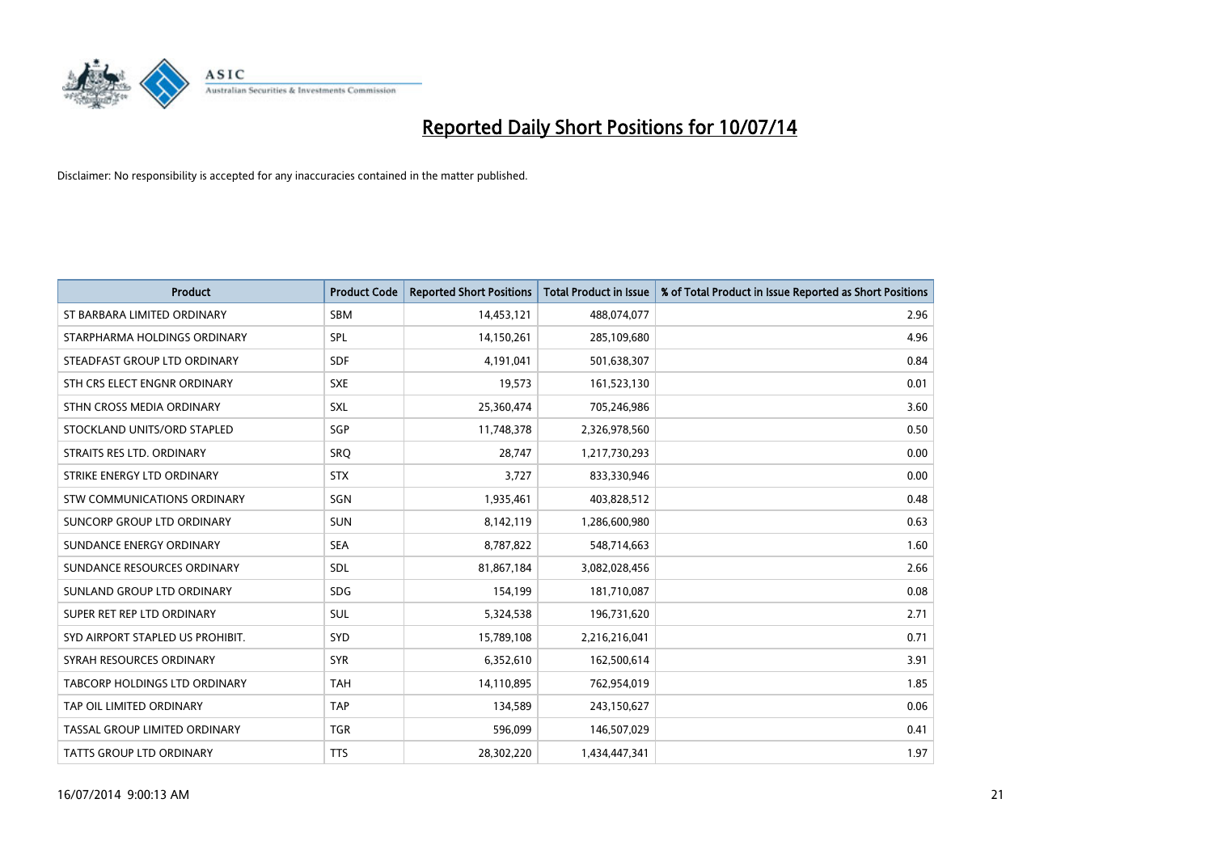

| Product                              | <b>Product Code</b> | <b>Reported Short Positions</b> | <b>Total Product in Issue</b> | % of Total Product in Issue Reported as Short Positions |
|--------------------------------------|---------------------|---------------------------------|-------------------------------|---------------------------------------------------------|
| ST BARBARA LIMITED ORDINARY          | <b>SBM</b>          | 14,453,121                      | 488,074,077                   | 2.96                                                    |
| STARPHARMA HOLDINGS ORDINARY         | SPL                 | 14,150,261                      | 285,109,680                   | 4.96                                                    |
| STEADFAST GROUP LTD ORDINARY         | <b>SDF</b>          | 4,191,041                       | 501,638,307                   | 0.84                                                    |
| STH CRS ELECT ENGNR ORDINARY         | <b>SXE</b>          | 19,573                          | 161,523,130                   | 0.01                                                    |
| STHN CROSS MEDIA ORDINARY            | <b>SXL</b>          | 25,360,474                      | 705,246,986                   | 3.60                                                    |
| STOCKLAND UNITS/ORD STAPLED          | SGP                 | 11,748,378                      | 2,326,978,560                 | 0.50                                                    |
| STRAITS RES LTD. ORDINARY            | <b>SRQ</b>          | 28,747                          | 1,217,730,293                 | 0.00                                                    |
| STRIKE ENERGY LTD ORDINARY           | <b>STX</b>          | 3,727                           | 833,330,946                   | 0.00                                                    |
| STW COMMUNICATIONS ORDINARY          | SGN                 | 1,935,461                       | 403,828,512                   | 0.48                                                    |
| SUNCORP GROUP LTD ORDINARY           | <b>SUN</b>          | 8,142,119                       | 1,286,600,980                 | 0.63                                                    |
| SUNDANCE ENERGY ORDINARY             | <b>SEA</b>          | 8,787,822                       | 548,714,663                   | 1.60                                                    |
| SUNDANCE RESOURCES ORDINARY          | SDL                 | 81,867,184                      | 3,082,028,456                 | 2.66                                                    |
| SUNLAND GROUP LTD ORDINARY           | <b>SDG</b>          | 154,199                         | 181,710,087                   | 0.08                                                    |
| SUPER RET REP LTD ORDINARY           | SUL                 | 5,324,538                       | 196,731,620                   | 2.71                                                    |
| SYD AIRPORT STAPLED US PROHIBIT.     | <b>SYD</b>          | 15,789,108                      | 2,216,216,041                 | 0.71                                                    |
| SYRAH RESOURCES ORDINARY             | <b>SYR</b>          | 6,352,610                       | 162,500,614                   | 3.91                                                    |
| <b>TABCORP HOLDINGS LTD ORDINARY</b> | <b>TAH</b>          | 14,110,895                      | 762,954,019                   | 1.85                                                    |
| TAP OIL LIMITED ORDINARY             | <b>TAP</b>          | 134,589                         | 243,150,627                   | 0.06                                                    |
| TASSAL GROUP LIMITED ORDINARY        | <b>TGR</b>          | 596,099                         | 146,507,029                   | 0.41                                                    |
| <b>TATTS GROUP LTD ORDINARY</b>      | <b>TTS</b>          | 28,302,220                      | 1,434,447,341                 | 1.97                                                    |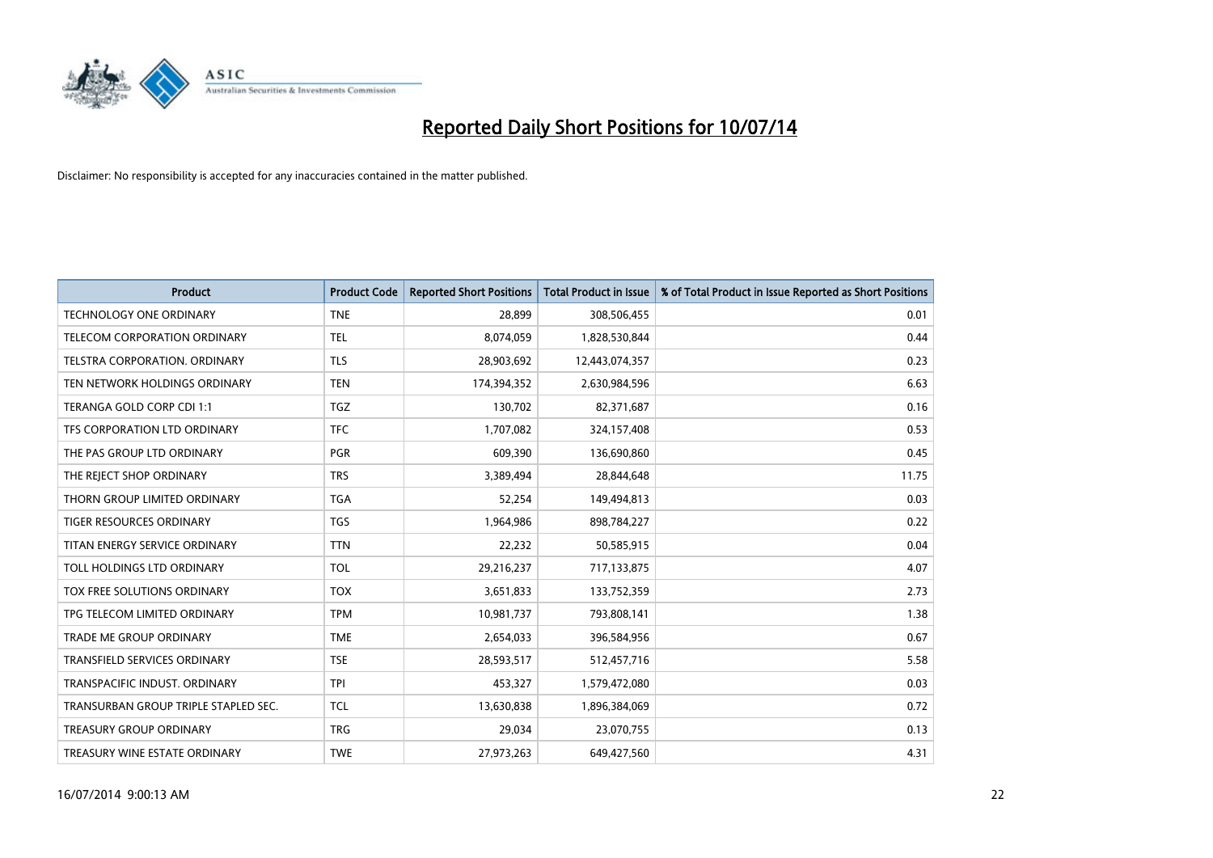

| Product                              | <b>Product Code</b> | <b>Reported Short Positions</b> | <b>Total Product in Issue</b> | % of Total Product in Issue Reported as Short Positions |
|--------------------------------------|---------------------|---------------------------------|-------------------------------|---------------------------------------------------------|
| <b>TECHNOLOGY ONE ORDINARY</b>       | <b>TNE</b>          | 28,899                          | 308,506,455                   | 0.01                                                    |
| TELECOM CORPORATION ORDINARY         | <b>TEL</b>          | 8,074,059                       | 1,828,530,844                 | 0.44                                                    |
| <b>TELSTRA CORPORATION, ORDINARY</b> | <b>TLS</b>          | 28,903,692                      | 12,443,074,357                | 0.23                                                    |
| TEN NETWORK HOLDINGS ORDINARY        | <b>TEN</b>          | 174,394,352                     | 2,630,984,596                 | 6.63                                                    |
| TERANGA GOLD CORP CDI 1:1            | <b>TGZ</b>          | 130,702                         | 82,371,687                    | 0.16                                                    |
| TFS CORPORATION LTD ORDINARY         | <b>TFC</b>          | 1,707,082                       | 324,157,408                   | 0.53                                                    |
| THE PAS GROUP LTD ORDINARY           | <b>PGR</b>          | 609,390                         | 136,690,860                   | 0.45                                                    |
| THE REJECT SHOP ORDINARY             | <b>TRS</b>          | 3,389,494                       | 28,844,648                    | 11.75                                                   |
| THORN GROUP LIMITED ORDINARY         | <b>TGA</b>          | 52,254                          | 149,494,813                   | 0.03                                                    |
| <b>TIGER RESOURCES ORDINARY</b>      | <b>TGS</b>          | 1,964,986                       | 898,784,227                   | 0.22                                                    |
| TITAN ENERGY SERVICE ORDINARY        | <b>TTN</b>          | 22,232                          | 50,585,915                    | 0.04                                                    |
| TOLL HOLDINGS LTD ORDINARY           | <b>TOL</b>          | 29,216,237                      | 717,133,875                   | 4.07                                                    |
| TOX FREE SOLUTIONS ORDINARY          | <b>TOX</b>          | 3,651,833                       | 133,752,359                   | 2.73                                                    |
| TPG TELECOM LIMITED ORDINARY         | <b>TPM</b>          | 10,981,737                      | 793,808,141                   | 1.38                                                    |
| <b>TRADE ME GROUP ORDINARY</b>       | <b>TME</b>          | 2,654,033                       | 396,584,956                   | 0.67                                                    |
| TRANSFIELD SERVICES ORDINARY         | <b>TSE</b>          | 28,593,517                      | 512,457,716                   | 5.58                                                    |
| TRANSPACIFIC INDUST. ORDINARY        | <b>TPI</b>          | 453,327                         | 1,579,472,080                 | 0.03                                                    |
| TRANSURBAN GROUP TRIPLE STAPLED SEC. | <b>TCL</b>          | 13,630,838                      | 1,896,384,069                 | 0.72                                                    |
| <b>TREASURY GROUP ORDINARY</b>       | <b>TRG</b>          | 29,034                          | 23,070,755                    | 0.13                                                    |
| TREASURY WINE ESTATE ORDINARY        | <b>TWE</b>          | 27,973,263                      | 649,427,560                   | 4.31                                                    |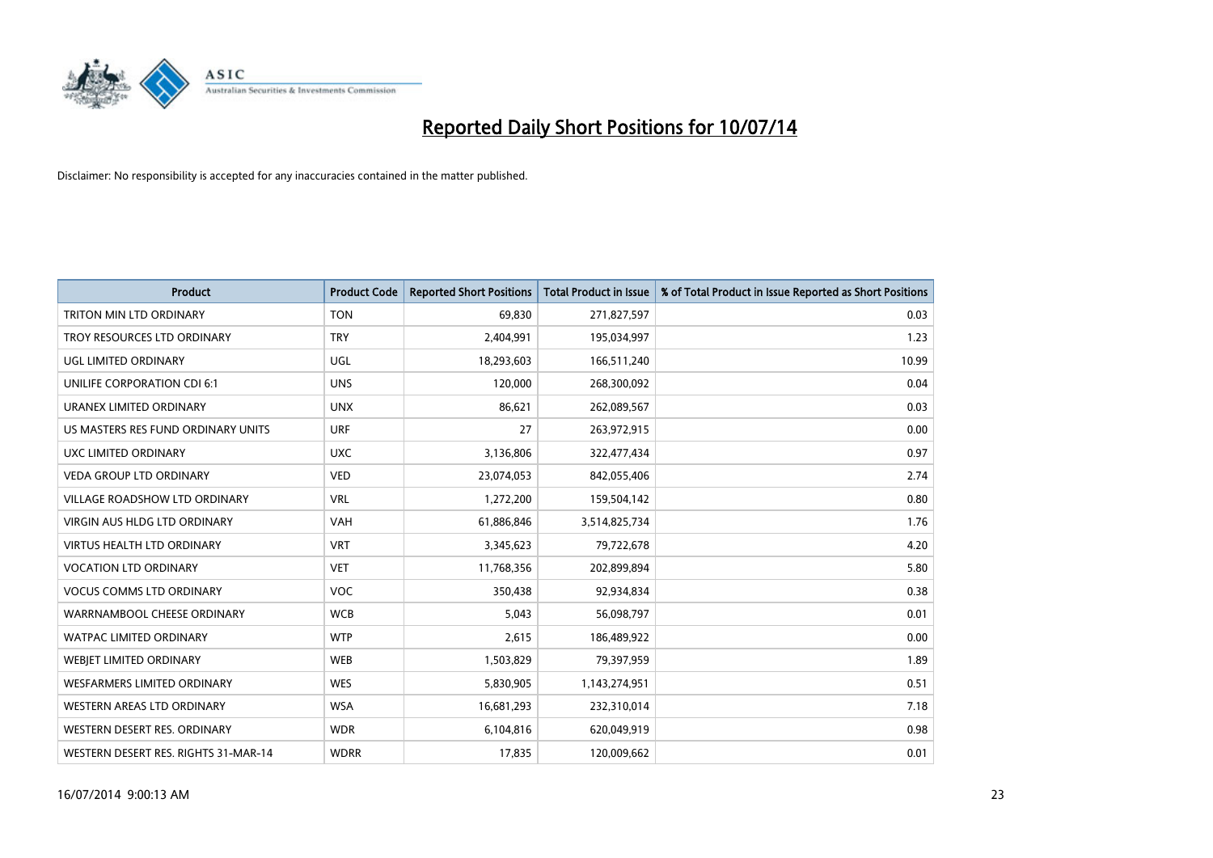

| <b>Product</b>                       | <b>Product Code</b> | <b>Reported Short Positions</b> | <b>Total Product in Issue</b> | % of Total Product in Issue Reported as Short Positions |
|--------------------------------------|---------------------|---------------------------------|-------------------------------|---------------------------------------------------------|
| TRITON MIN LTD ORDINARY              | <b>TON</b>          | 69,830                          | 271,827,597                   | 0.03                                                    |
| TROY RESOURCES LTD ORDINARY          | <b>TRY</b>          | 2,404,991                       | 195,034,997                   | 1.23                                                    |
| UGL LIMITED ORDINARY                 | UGL                 | 18,293,603                      | 166,511,240                   | 10.99                                                   |
| UNILIFE CORPORATION CDI 6:1          | <b>UNS</b>          | 120,000                         | 268,300,092                   | 0.04                                                    |
| URANEX LIMITED ORDINARY              | <b>UNX</b>          | 86,621                          | 262,089,567                   | 0.03                                                    |
| US MASTERS RES FUND ORDINARY UNITS   | <b>URF</b>          | 27                              | 263,972,915                   | 0.00                                                    |
| UXC LIMITED ORDINARY                 | <b>UXC</b>          | 3,136,806                       | 322,477,434                   | 0.97                                                    |
| <b>VEDA GROUP LTD ORDINARY</b>       | <b>VED</b>          | 23,074,053                      | 842,055,406                   | 2.74                                                    |
| VILLAGE ROADSHOW LTD ORDINARY        | <b>VRL</b>          | 1,272,200                       | 159,504,142                   | 0.80                                                    |
| <b>VIRGIN AUS HLDG LTD ORDINARY</b>  | <b>VAH</b>          | 61,886,846                      | 3,514,825,734                 | 1.76                                                    |
| <b>VIRTUS HEALTH LTD ORDINARY</b>    | <b>VRT</b>          | 3,345,623                       | 79,722,678                    | 4.20                                                    |
| <b>VOCATION LTD ORDINARY</b>         | <b>VET</b>          | 11,768,356                      | 202,899,894                   | 5.80                                                    |
| <b>VOCUS COMMS LTD ORDINARY</b>      | VOC                 | 350,438                         | 92,934,834                    | 0.38                                                    |
| WARRNAMBOOL CHEESE ORDINARY          | <b>WCB</b>          | 5,043                           | 56,098,797                    | 0.01                                                    |
| <b>WATPAC LIMITED ORDINARY</b>       | <b>WTP</b>          | 2,615                           | 186,489,922                   | 0.00                                                    |
| <b>WEBIET LIMITED ORDINARY</b>       | <b>WEB</b>          | 1,503,829                       | 79,397,959                    | 1.89                                                    |
| WESFARMERS LIMITED ORDINARY          | <b>WES</b>          | 5,830,905                       | 1,143,274,951                 | 0.51                                                    |
| <b>WESTERN AREAS LTD ORDINARY</b>    | <b>WSA</b>          | 16,681,293                      | 232,310,014                   | 7.18                                                    |
| WESTERN DESERT RES. ORDINARY         | <b>WDR</b>          | 6,104,816                       | 620,049,919                   | 0.98                                                    |
| WESTERN DESERT RES. RIGHTS 31-MAR-14 | <b>WDRR</b>         | 17,835                          | 120,009,662                   | 0.01                                                    |